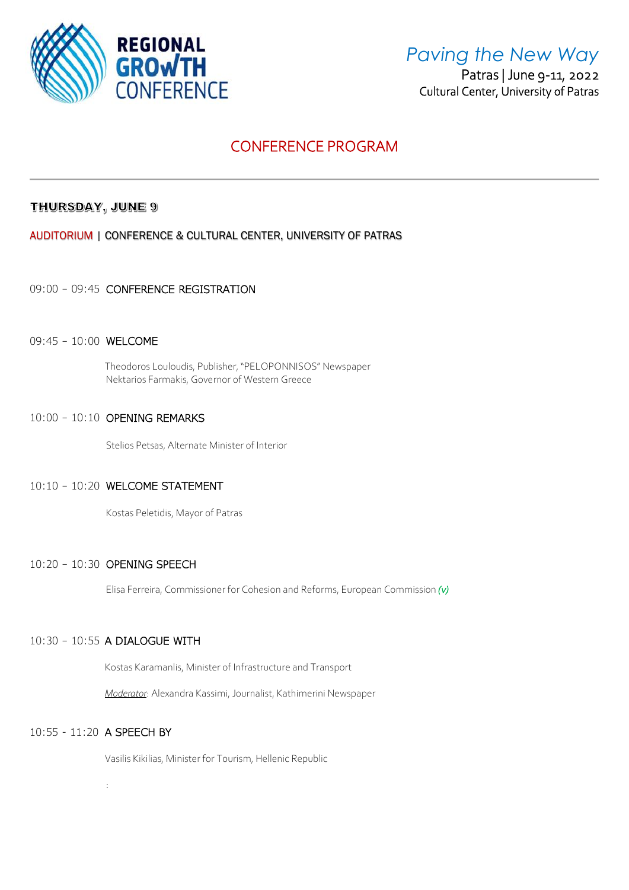

## *Paving the New Way*

 Patras | June 9-11, 2022 Cultural Center, University of Patras

## CONFERENCE PROGRAM

## THURSDAY, JUNE 9

AUDITORIUM | CONFERENCE & CULTURAL CENTER, UNIVERSITY OF PATRAS

## 09:00 – 09:45 CONFERENCE REGISTRATION

### 09:45 – 10:00 WELCOME

Theodoros Louloudis, Publisher, "PELOPONNISOS" Newspaper Nektarios Farmakis, Governor of Western Greece

## 10:00 – 10:10 OPENING REMARKS

Stelios Petsas, Alternate Minister of Interior

### 10:10 – 10:20 WELCOME STATEMENT

Kostas Peletidis, Mayor of Patras

## 10:20 – 10:30 OPENING SPEECH

Elisa Ferreira, Commissioner for Cohesion and Reforms, European Commission *(v)*

## 10:30 – 10:55 A DIALOGUE WITH

Kostas Karamanlis, Minister of Infrastructure and Transport

*Moderator*: Alexandra Kassimi, Journalist, Kathimerini Newspaper

### 10:55 - 11:20 A SPEECH BY

:

Vasilis Kikilias, Minister for Tourism, Hellenic Republic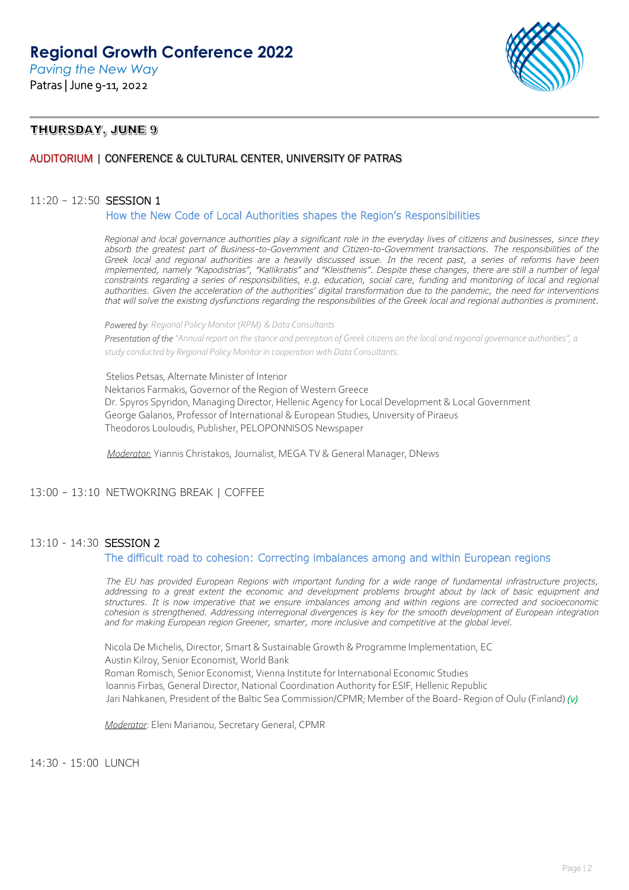

## THURSDAY, JUNE 9

## AUDITORIUM | CONFERENCE & CULTURAL CENTER, UNIVERSITY OF PATRAS

### 11:20 – 12:50 SESSION 1

#### How the New Code of Local Authorities shapes the Region's Responsibilities

*Regional and local governance authorities play a significant role in the everyday lives of citizens and businesses, since they absorb the greatest part of Business-to-Government and Citizen-to-Government transactions. The responsibilities of the Greek local and regional authorities are a heavily discussed issue. In the recent past, a series of reforms have been implemented, namely "Kapodistrias", "Kallikratis" and "Kleisthenis". Despite these changes, there are still a number of legal constraints regarding a series of responsibilities, e.g. education, social care, funding and monitoring of local and regional* authorities. Given the acceleration of the authorities' digital transformation due to the pandemic, the need for interventions *that will solve the existing dysfunctions regarding the responsibilities of the Greek local and regional authorities is prominent.*

*Powered by: Regional Policy Monitor (RPM) & Data Consultants* 

*Presentation of the "Annual report on the stance and perception of Greek citizens on the local and regional governance authorities", a study conducted by Regional Policy Monitor in cooperation with Data Consultants.* 

Stelios Petsas, Alternate Minister of Interior Nektarios Farmakis, Governor of the Region of Western Greece Dr. Spyros Spyridon, Managing Director, Hellenic Agency for Local Development & Local Government George Galanos, Professor of International & European Studies, University of Piraeus Theodoros Louloudis, Publisher, PELOPONNISOS Newspaper

*Moderator:* Yiannis Christakos, Journalist, MEGA TV & General Manager, DNews

### 13:00 – 13:10 NETWOKRING BREAK | COFFEE

### 13:10 - 14:30 SESSION 2

#### The difficult road to cohesion: Correcting imbalances among and within European regions

*The EU has provided European Regions with important funding for a wide range of fundamental infrastructure projects, addressing to a great extent the economic and development problems brought about by lack of basic equipment and structures. It is now imperative that we ensure imbalances among and within regions are corrected and socioeconomic cohesion is strengthened. Addressing interregional divergences is key for the smooth development of European integration and for making European region Greener, smarter, more inclusive and competitive at the global level.*

Nicola De Michelis, Director, Smart & Sustainable Growth & Programme Implementation, EC Austin Kilroy, Senior Economist, World Bank Roman Romisch, Senior Economist, Vienna Institute for International Economic Studies Ioannis Firbas, General Director, National Coordination Authority for ESIF, Hellenic Republic Jari Nahkanen, President of the Baltic Sea Commission/CPMR; Member of the Board- Region of Oulu (Finland) *(v)*

*Moderator*: Eleni Marianou, Secretary General, CPMR

14:30 - 15:00 LUNCH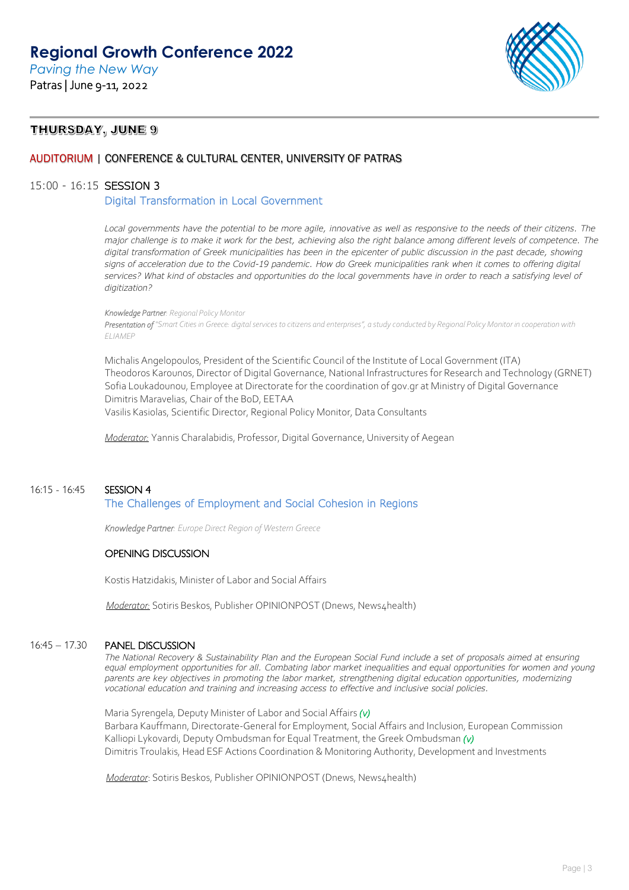*Paving the New Way* Patras | June 9-11, 2022



## THURSDAY, JUNE 9

### AUDITORIUM | CONFERENCE & CULTURAL CENTER, UNIVERSITY OF PATRAS

#### 15:00 - 16:15 SESSION 3

Digital Transformation in Local Government

*Local governments have the potential to be more agile, innovative as well as responsive to the needs of their citizens. The major challenge is to make it work for the best, achieving also the right balance among different levels of competence. The*  digital transformation of Greek municipalities has been in the epicenter of public discussion in the past decade, showing *signs of acceleration due to the Covid-19 pandemic. How do Greek municipalities rank when it comes to offering digital services? What kind of obstacles and opportunities do the local governments have in order to reach a satisfying level of digitization?* 

*Knowledge Partner: Regional Policy Monitor Presentation of "Smart Cities in Greece: digital services to citizens and enterprises", a study conducted by Regional Policy Monitor in cooperation with ELIAMEP* 

Michalis Angelopoulos, President of the Scientific Council of the Institute of Local Government (ITA) Theodoros Karounos, Director of Digital Governance, National Infrastructures for Research and Technology (GRNET) Sofia Loukadounou, Employee at Directorate for the coordination of gov.gr at Ministry of Digital Governance Dimitris Maravelias, Chair of the BoD, EETAA Vasilis Kasiolas, Scientific Director, Regional Policy Monitor, Data Consultants

*Moderator:* Yannis Charalabidis, Professor, Digital Governance, University of Aegean

### 16:15 - 16:45 SESSION 4 The Challenges of Employment and Social Cohesion in Regions

 *Knowledge Partner: Europe Direct Region of Western Greece* 

## OPENING DISCUSSION

Kostis Hatzidakis, Minister of Labor and Social Affairs

*Moderator:* Sotiris Beskos, Publisher OPINIONPOST (Dnews, News4health)

### 16:45 – 17.30 PANEL DISCUSSION

*The National Recovery & Sustainability Plan and the European Social Fund include a set of proposals aimed at ensuring equal employment opportunities for all. Combating labor market inequalities and equal opportunities for women and young parents are key objectives in promoting the labor market, strengthening digital education opportunities, modernizing vocational education and training and increasing access to effective and inclusive social policies.*

Maria Syrengela, Deputy Minister of Labor and Social Affairs *(v)* Barbara Kauffmann, Directorate-General for Employment, Social Affairs and Inclusion, European Commission Kalliopi Lykovardi, Deputy Ombudsman for Equal Treatment, the Greek Ombudsman *(v)* Dimitris Troulakis, Head ESF Actions Coordination & Monitoring Authority, Development and Investments

*Moderator: Sotiris Beskos, Publisher OPINIONPOST (Dnews, News4health)*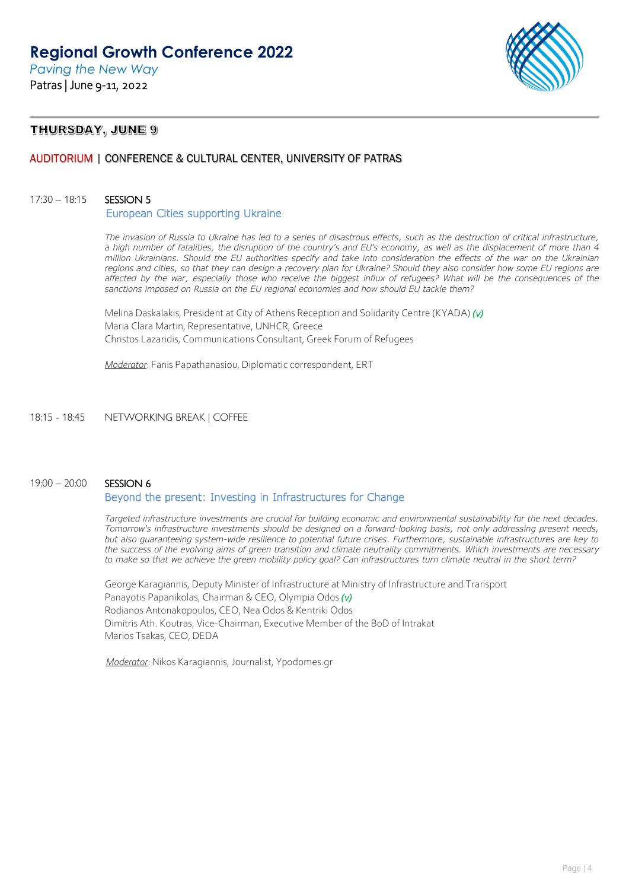

## THURSDAY, JUNE 9

## AUDITORIUM | CONFERENCE & CULTURAL CENTER, UNIVERSITY OF PATRAS

### 17:30 – 18:15 SESSION 5

#### European Cities supporting Ukraine

*The invasion of Russia to Ukraine has led to a series of disastrous effects, such as the destruction of critical infrastructure, a high number of fatalities, the disruption of the country's and EU's economy, as well as the displacement of more than 4 million Ukrainians. Should the EU authorities specify and take into consideration the effects of the war on the Ukrainian regions and cities, so that they can design a recovery plan for Ukraine? Should they also consider how some EU regions are affected by the war, especially those who receive the biggest influx of refugees? What will be the consequences of the sanctions imposed on Russia on the EU regional economies and how should EU tackle them?*

Melina Daskalakis, President at City of Athens Reception and Solidarity Centre (ΚYADA) *(v)*  Maria Clara Martin, Representative, UNHCR, Greece Christos Lazaridis, Communications Consultant, Greek Forum of Refugees

*Moderator*: Fanis Papathanasiou, Diplomatic correspondent, ERT

#### 18:15 - 18:45 NETWORKING BREAK | COFFEE

### 19:00 – 20:00 SESSION 6

## Beyond the present: Investing in Infrastructures for Change

*Targeted infrastructure investments are crucial for building economic and environmental sustainability for the next decades. Tomorrow's infrastructure investments should be designed on a forward-looking basis, not only addressing present needs, but also guaranteeing system-wide resilience to potential future crises. Furthermore, sustainable infrastructures are key to the success of the evolving aims of green transition and climate neutrality commitments. Which investments are necessary to make so that we achieve the green mobility policy goal? Can infrastructures turn climate neutral in the short term?*

George Karagiannis, Deputy Minister of Infrastructure at Ministry of Infrastructure and Transport Panayotis Papanikolas, Chairman & CEO, Olympia Odos *(v)*  Rodianos Antonakopoulos, CEO, Nea Odos & Kentriki Odos Dimitris Ath. Koutras, Vice-Chairman, Executive Member of the BoD of Intrakat Marios Tsakas, CEO, DEDA

*Moderator*: Nikos Karagiannis, Journalist, Ypodomes.gr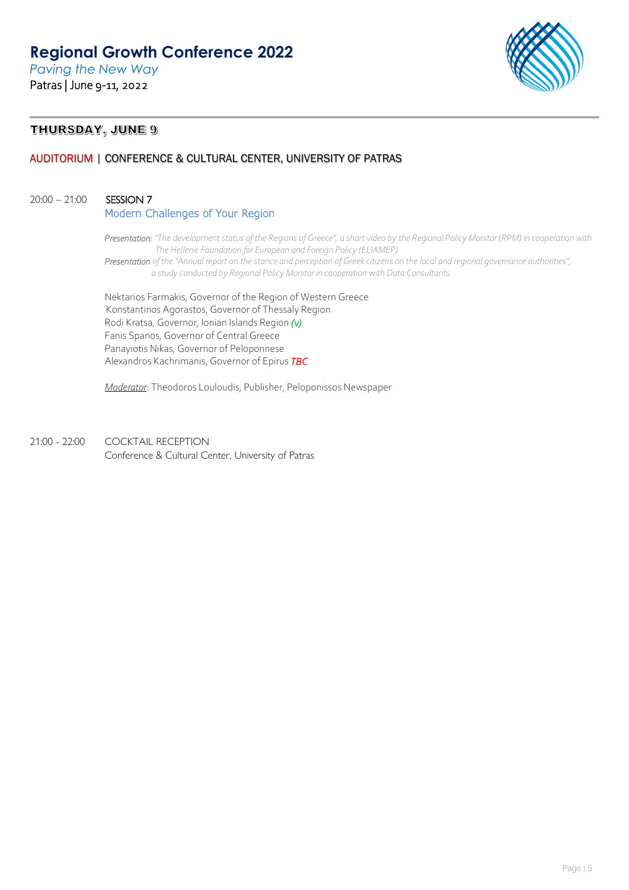*Paving the New Way* Patras | June 9-11, 2022



## THURSDAY, JUNE 9

## AUDITORIUM | CONFERENCE & CULTURAL CENTER, UNIVERSITY OF PATRAS

### 20:00 – 21:00 SESSION 7

Modern Challenges of Your Region

*Presentation: "The development status of the Regions of Greece", a short video by the Regional Policy Monitor (RPM) in cooperation with The Hellenic Foundation for European and Foreign Policy (ELIAMEP)*

*Presentation of the "Annual report on the stance and perception of Greek citizens on the local and regional governance authorities", a study conducted by Regional Policy Monitor in cooperation with Data Consultants.*

Nektarios Farmakis, Governor of the Region of Western Greece Konstantinos Agorastos, Governor of Thessaly Region Rodi Kratsa, Governor, Ionian Islands Region *(v)* Fanis Spanos, Governor of Central Greece Panayiotis Nikas, Governor of Peloponnese Alexandros Kachrimanis, Governor of Epirus *TBC*

*Moderator*: Theodoros Louloudis, Publisher, Peloponissos Newspaper

21:00 - 22:00 COCKTAIL RECEPTION Conference & Cultural Center, University of Patras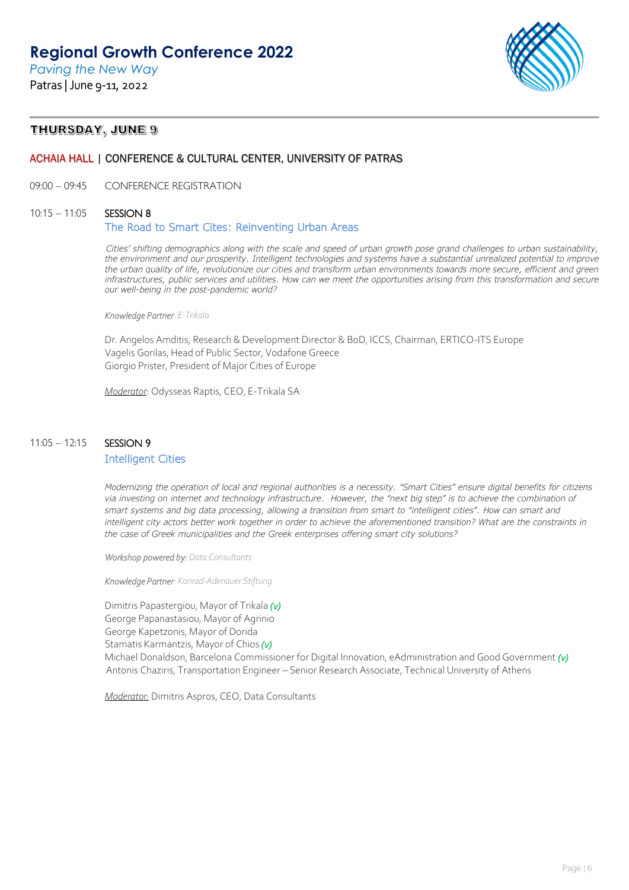*Paving the New Way* Patras | June 9-11, 2022



## THURSDAY, JUNE 9

### ACHAIA HALL | CONFERENCE & CULTURAL CENTER, UNIVERSITY OF PATRAS

09:00 – 09:45 CONFERENCE REGISTRATION

#### 10:15 – 11:05 SESSION 8

### The Road to Smart Cites: Reinventing Urban Areas

*Cities' shifting demographics along with the scale and speed of urban growth pose grand challenges to urban sustainability, the environment and our prosperity. Intelligent technologies and systems have a substantial unrealized potential to improve the urban quality of life, revolutionize our cities and transform urban environments towards more secure, efficient and green infrastructures, public services and utilities. How can we meet the opportunities arising from this transformation and secure our well-being in the post-pandemic world?*

 *Knowledge Partner: E-Trikala*

Dr. Angelos Amditis, Research & Development Director & BoD, ICCS, Chairman, ERTICO-ITS Europe Vagelis Gorilas, Ηead of Public Sector, Vodafone Greece Giorgio Prister, President of Major Cities of Europe

*Moderator*: Odysseas Raptis, CEO, E-Trikala SA

## 11:05 - 12:15 **SESSION 9**

### Intelligent Cities

*Modernizing the operation of local and regional authorities is a necessity. "Smart Cities" ensure digital benefits for citizens via investing on internet and technology infrastructure. However, the "next big step" is to achieve the combination of smart systems and big data processing, allowing a transition from smart to "intelligent cities". How can smart and*  intelligent city actors better work together in order to achieve the aforementioned transition? What are the constraints in *the case of Greek municipalities and the Greek enterprises offering smart city solutions?*

 *Workshop powered by: Data Consultants*

*Knowledge Partner: Konrad-Adenauer Stiftung*

 Dimitris Papastergiou, Mayor of Trikala *(v)* George Papanastasiou, Mayor of Agrinio George Kapetzonis, Mayor of Dorida

Stamatis Karmantzis, Mayor of Chios *(v)*

Michael Donaldson, Barcelona Commissioner for Digital Innovation, eAdministration and Good Government *(v)* Antonis Chaziris, Transportation Engineer – Senior Research Associate, Technical University of Athens

*Moderator:* Dimitris Aspros, CEO, Data Consultants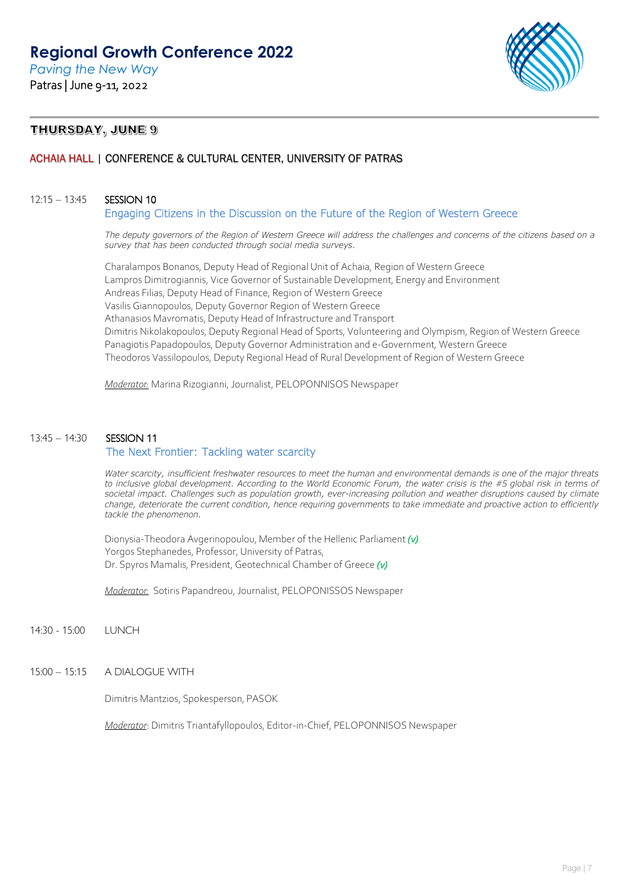*Paving the New Way* Patras | June 9-11, 2022



## THURSDAY, JUNE 9

## ACHAIA HALL | CONFERENCE & CULTURAL CENTER, UNIVERSITY OF PATRAS

### 12:15 – 13:45 SESSION 10

Engaging Citizens in the Discussion on the Future of the Region of Western Greece

*The deputy governors of the Region of Western Greece will address the challenges and concerns of the citizens based on a survey that has been conducted through social media surveys.* 

Charalampos Bonanos, Deputy Head of Regional Unit of Achaia, Region of Western Greece Lampros Dimitrogiannis, Vice Governor of Sustainable Development, Energy and Environment Andreas Filias, Deputy Head of Finance, Region of Western Greece Vasilis Giannopoulos, Deputy Governor Region of Western Greece Athanasios Mavromatis, Deputy Head of Infrastructure and Transport Dimitris Nikolakopoulos, Deputy Regional Head of Sports, Volunteering and Olympism, Region of Western Greece Panagiotis Papadopoulos, Deputy Governor Administration and e-Government, Western Greece Theodoros Vassilopoulos, Deputy Regional Head of Rural Development of Region of Western Greece

*Moderator:* Marina Rizogianni, Journalist, PELOPONNISOS Newspaper

## 13:45 – 14:30 SESSION 11 The Next Frontier: Tackling water scarcity

*Water scarcity, insufficient freshwater resources to meet the human and environmental demands is one of the major threats*  to inclusive global development. According to the World Economic Forum, the water crisis is the #5 global risk in terms of *societal impact. Challenges such as population growth, ever-increasing pollution and weather disruptions caused by climate change, deteriorate the current condition, hence requiring governments to take immediate and proactive action to efficiently tackle the phenomenon.*

Dionysia-Theodora Avgerinopoulou, Member of the Hellenic Parliament *(v)* Yorgos Stephanedes, Professor, University of Patras, Dr. Spyros Mamalis, President, Geotechnical Chamber of Greece *(v)*

*Moderator:* Sotiris Papandreou, Journalist, PELOPONISSOS Newspaper

14:30 - 15:00 LUNCH

15:00 – 15:15 A DIALOGUE WITH

Dimitris Mantzios, Spokesperson, PASOK

*Moderator*: Dimitris Triantafyllopoulos, Editor-in-Chief, PELOPONNISOS Newspaper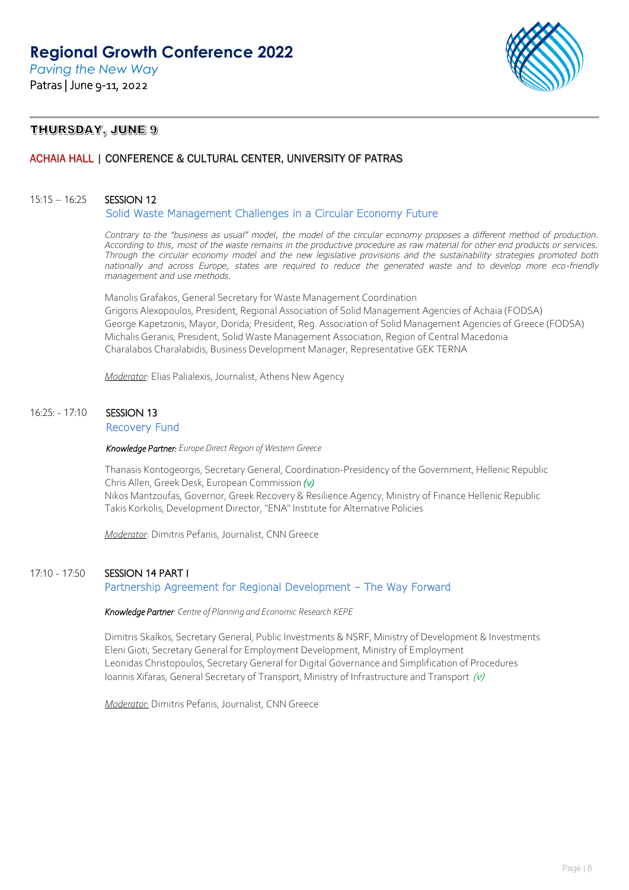

## THURSDAY, JUNE 9

## ACHAIA HALL | CONFERENCE & CULTURAL CENTER, UNIVERSITY OF PATRAS

### 15:15 – 16:25 SESSION 12

Solid Waste Management Challenges in a Circular Economy Future

Contrary to the "business as usual" model, the model of the circular economy proposes a different method of production. *According to this, most of the waste remains in the productive procedure as raw material for other end products or services. Through the circular economy model and the new legislative provisions and the sustainability strategies promoted both nationally and across Europe, states are required to reduce the generated waste and to develop more eco-friendly management and use methods.*

Manolis Grafakos, General Secretary for Waste Management Coordination Grigoris Alexopoulos, President, Regional Association of Solid Management Agencies of Achaia (FODSA) George Kapetzonis, Mayor, Dorida; President, Reg. Association of Solid Management Agencies of Greece (FODSA) Michalis Geranis, President, Solid Waste Management Association, Region of Central Macedonia Charalabos Charalabidis, Business Development Manager, Representative GEK TERNA

*Moderator*: Elias Palialexis, Journalist, Athens New Agency

## 16:25: - 17:10 SESSION 13 Recovery Fund

*Knowledge Partner: Europe Direct Region of Western Greece* 

Thanasis Kontogeorgis, Secretary General, Coordination-Presidency of the Government, Hellenic Republic Chris Allen, Greek Desk, European Commission *(v)*  Nikos Mantzoufas, Governor, Greek Recovery & Resilience Agency, Ministry of Finance Hellenic Republic Takis Korkolis, Development Director, "ENA" Institute for Alternative Policies

*Moderator*: Dimitris Pefanis, Journalist, CNN Greece

### 17:10 - 17:50 SESSION 14 PART I

### Partnership Agreement for Regional Development – The Way Forward

 *Knowledge Partner: Centre of Planning and Economic Research KEPE* 

Dimitris Skalkos, Secretary General, Public Investments & NSRF, Ministry of Development & Investments Eleni Gioti, Secretary General for Employment Development, Ministry of Employment Leonidas Christopoulos, Secretary General for Digital Governance and Simplification of Procedures Ioannis Xifaras, General Secretary of Transport, Ministry of Infrastructure and Transport  $(v)$ 

*Moderator:* Dimitris Pefanis, Journalist, CNN Greece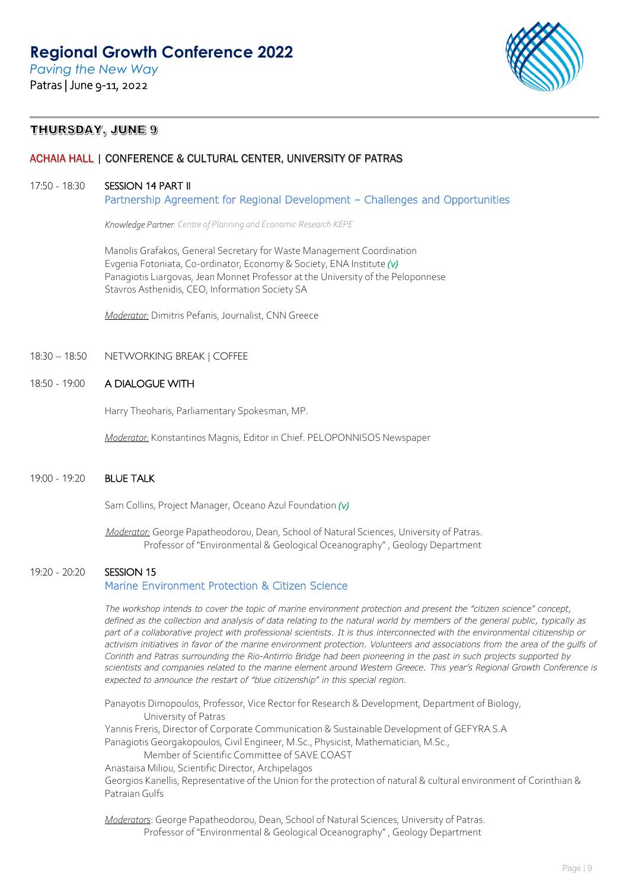*Paving the New Way* Patras | June 9-11, 2022



## THURSDAY, JUNE 9

## ACHAIA HALL | CONFERENCE & CULTURAL CENTER, UNIVERSITY OF PATRAS

## 17:50 - 18:30 SESSION 14 PART II

Partnership Agreement for Regional Development – Challenges and Opportunities

 *Knowledge Partner: Centre of Planning and Economic Research KEPE* 

Manolis Grafakos, General Secretary for Waste Management Coordination Evgenia Fotoniata, Co-ordinator, Economy & Society, ENA Institute *(v)* Panagiotis Liargovas, Jean Monnet Professor at the University of the Peloponnese Stavros Asthenidis, CEO, Information Society SA

*Moderator:* Dimitris Pefanis, Journalist, CNN Greece

18:30 – 18:50 NETWORKING BREAK | COFFEE

### 18:50 - 19:00 A DIALOGUE WITH

Harry Theoharis, Parliamentary Spokesman, MP.

*Moderator:* Konstantinos Magnis, Editor in Chief. PELOPONNISOS Newspaper

### 19:00 - 19:20 BLUE TALK

Sam Collins, Project Manager, Oceano Azul Foundation *(v)*

*Moderator:* George Papatheodorou, Dean, School of Natural Sciences, University of Patras. Professor of "Environmental & Geological Oceanography" , Geology Department

## 19:20 - 20:20 SESSION 15

## Marine Environment Protection & Citizen Science

*The workshop intends to cover the topic of marine environment protection and present the "citizen science" concept, defined as the collection and analysis of data relating to the natural world by members of the general public, typically as part of a collaborative project with professional scientists. It is thus interconnected with the environmental citizenship or activism initiatives in favor of the marine environment protection. Volunteers and associations from the area of the gulfs of Corinth and Patras surrounding the Rio-Antirrio Bridge had been pioneering in the past in such projects supported by scientists and companies related to the marine element around Western Greece. This year's Regional Growth Conference is expected to announce the restart of "blue citizenship" in this special region.*

Panayotis Dimopoulos, Professor, Vice Rector for Research & Development, Department of Biology, University of Patras

Yannis Freris, Director of Corporate Communication & Sustainable Development of GEFYRA S.A

Panagiotis Georgakopoulos, Civil Engineer, M.Sc., Physicist, Mathematician, M.Sc.,

Member of Scientific Committee of SAVE COAST

Anastaisa Miliou, Scientific Director, Archipelagos

Georgios Kanellis, Representative of the Union for the protection of natural & cultural environment of Corinthian & Patraian Gulfs

*Moderators*: George Papatheodorou, Dean, School of Natural Sciences, University of Patras. Professor of "Environmental & Geological Oceanography" , Geology Department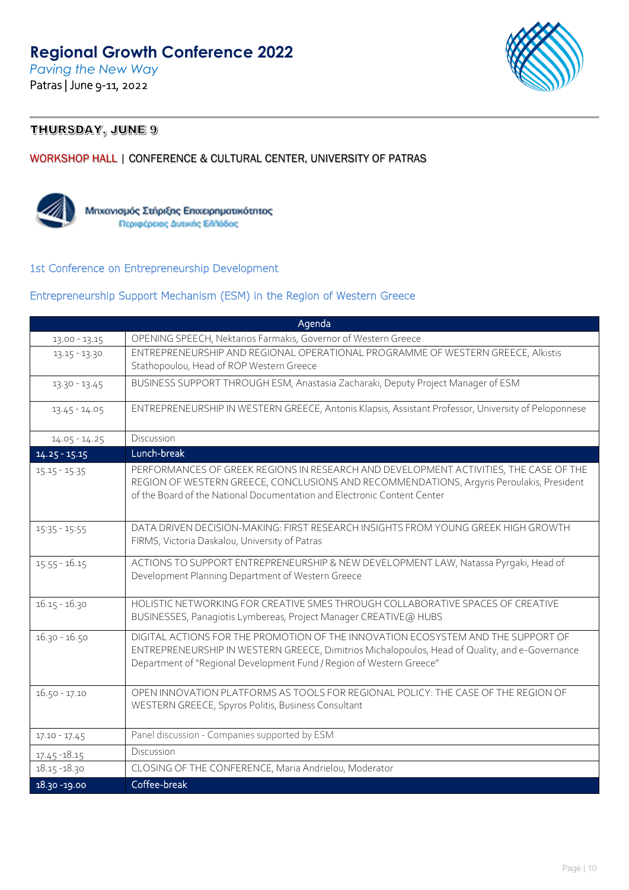*Paving the New Way* Patras | June 9-11, 2022



## THURSDAY, JUNE 9

## WORKSHOP HALL | CONFERENCE & CULTURAL CENTER, UNIVERSITY OF PATRAS



Μηχανισμός Στήριξης Επιχειρηματικότητας Περιφέρειας Δυτικής Ελλάδας

## 1st Conference on Entrepreneurship Development

## Entrepreneurship Support Mechanism (ESM) in the Region of Western Greece

| Agenda          |                                                                                                                                                                                                                                                               |
|-----------------|---------------------------------------------------------------------------------------------------------------------------------------------------------------------------------------------------------------------------------------------------------------|
| 13.00 - 13.15   | OPENING SPEECH, Nektarios Farmakis, Governor of Western Greece                                                                                                                                                                                                |
| 13.15 - 13.30   | ENTREPRENEURSHIP AND REGIONAL OPERATIONAL PROGRAMME OF WESTERN GREECE, Alkistis                                                                                                                                                                               |
|                 | Stathopoulou, Head of ROP Western Greece                                                                                                                                                                                                                      |
| 13.30 - 13.45   | BUSINESS SUPPORT THROUGH ESM, Anastasia Zacharaki, Deputy Project Manager of ESM                                                                                                                                                                              |
| $13.45 - 14.05$ | ENTREPRENEURSHIP IN WESTERN GREECE, Antonis Klapsis, Assistant Professor, University of Peloponnese                                                                                                                                                           |
| $14.05 - 14.25$ | Discussion                                                                                                                                                                                                                                                    |
| $14.25 - 15.15$ | Lunch-break                                                                                                                                                                                                                                                   |
| $15.15 - 15.35$ | PERFORMANCES OF GREEK REGIONS IN RESEARCH AND DEVELOPMENT ACTIVITIES, THE CASE OF THE<br>REGION OF WESTERN GREECE, CONCLUSIONS AND RECOMMENDATIONS, Argyris Peroulakis, President<br>of the Board of the National Documentation and Electronic Content Center |
| $15:35 - 15:55$ | DATA DRIVEN DECISION-MAKING: FIRST RESEARCH INSIGHTS FROM YOUNG GREEK HIGH GROWTH<br>FIRMS, Victoria Daskalou, University of Patras                                                                                                                           |
| $15.55 - 16.15$ | ACTIONS TO SUPPORT ENTREPRENEURSHIP & NEW DEVELOPMENT LAW, Natassa Pyrgaki, Head of<br>Development Planning Department of Western Greece                                                                                                                      |
| $16.15 - 16.30$ | HOLISTIC NETWORKING FOR CREATIVE SMES THROUGH COLLABORATIVE SPACES OF CREATIVE<br>BUSINESSES, Panagiotis Lymbereas, Project Manager CREATIVE@ HUBS                                                                                                            |
| $16.30 - 16.50$ | DIGITAL ACTIONS FOR THE PROMOTION OF THE INNOVATION ECOSYSTEM AND THE SUPPORT OF<br>ENTREPRENEURSHIP IN WESTERN GREECE, Dimitrios Michalopoulos, Head of Quality, and e-Governance<br>Department of "Regional Development Fund / Region of Western Greece"    |
| $16.50 - 17.10$ | OPEN INNOVATION PLATFORMS AS TOOLS FOR REGIONAL POLICY: THE CASE OF THE REGION OF<br>WESTERN GREECE, Spyros Politis, Business Consultant                                                                                                                      |
| $17.10 - 17.45$ | Panel discussion - Companies supported by ESM                                                                                                                                                                                                                 |
| 17.45 - 18.15   | Discussion                                                                                                                                                                                                                                                    |
| 18.15 - 18.30   | CLOSING OF THE CONFERENCE, Maria Andrielou, Moderator                                                                                                                                                                                                         |
| 18.30 - 19.00   | Coffee-break                                                                                                                                                                                                                                                  |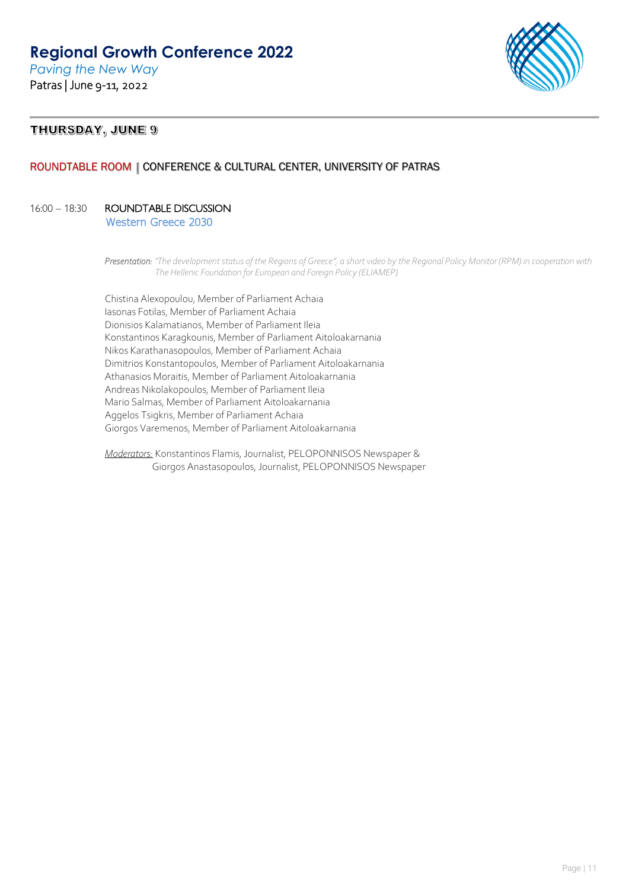*Paving the New Way* Patras | June 9-11, 2022



## THURSDAY, JUNE 9

## ROUNDTABLE ROOM | CONFERENCE & CULTURAL CENTER, UNIVERSITY OF PATRAS

## 16:00 – 18:30 ROUNDTABLE DISCUSSION

Western Greece 2030

Chistina Alexopoulou, Member of Parliament Achaia Iasonas Fotilas, Member of Parliament Achaia Dionisios Kalamatianos, Member of Parliament Ileia Konstantinos Karagkounis, Member of Parliament Aitoloakarnania Nikos Karathanasopoulos, Member of Parliament Achaia Dimitrios Konstantopoulos, Member of Parliament Aitoloakarnania Athanasios Moraitis, Member of Parliament Aitoloakarnania Andreas Nikolakopoulos, Member of Parliament Ileia Mario Salmas, Member of Parliament Aitoloakarnania Aggelos Tsigkris, Member of Parliament Achaia Giorgos Varemenos, Member of Parliament Aitoloakarnania

*Moderators:* Konstantinos Flamis, Journalist, PELOPONNISOS Newspaper & Giorgos Anastasopoulos, Journalist, PELOPONNISOS Newspaper

*Presentation: "The development status of the Regions of Greece", a short video by the Regional Policy Monitor (RPM) in cooperation with The Hellenic Foundation for European and Foreign Policy (ELIAMEP)*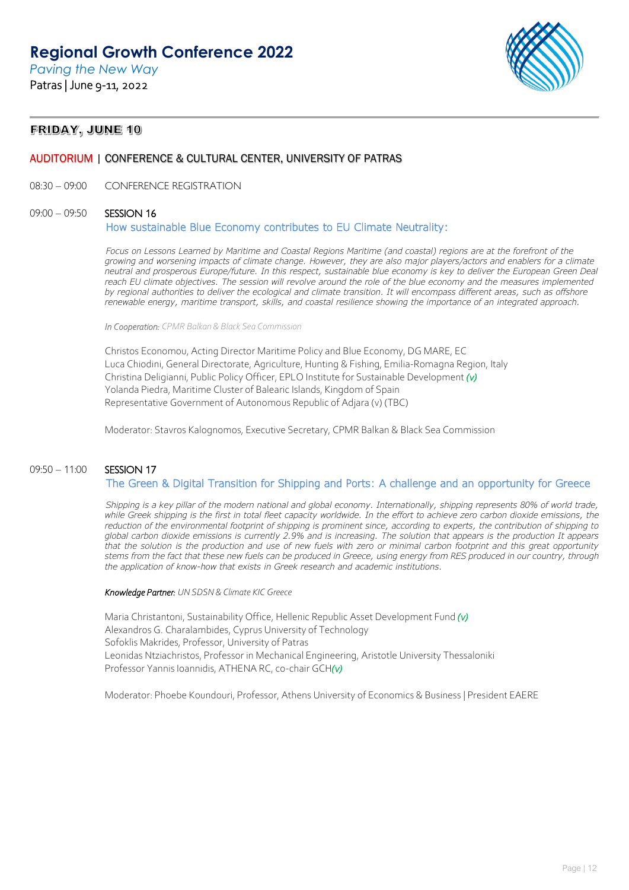*Paving the New Way* Patras | June 9-11, 2022



## FRIDAY, JUNE 10

## AUDITORIUM | CONFERENCE & CULTURAL CENTER, UNIVERSITY OF PATRAS

08:30 – 09:00 CONFERENCE REGISTRATION

#### 09:00 - 09:50 SESSION 16

### How sustainable Blue Economy contributes to EU Climate Neutrality:

*Focus on Lessons Learned by Maritime and Coastal Regions Maritime (and coastal) regions are at the forefront of the growing and worsening impacts of climate change. However, they are also major players/actors and enablers for a climate neutral and prosperous Europe/future. In this respect, sustainable blue economy is key to deliver the European Green Deal*  reach EU climate objectives. The session will revolve around the role of the blue economy and the measures implemented *by regional authorities to deliver the ecological and climate transition. It will encompass different areas, such as offshore renewable energy, maritime transport, skills, and coastal resilience showing the importance of an integrated approach.*

*In Cooperation: CPMR Balkan & Black Sea Commission* 

Christos Economou, Acting Director Maritime Policy and Blue Economy, DG MARE, EC Luca Chiodini, General Directorate, Agriculture, Hunting & Fishing, Emilia-Romagna Region, Italy Christina Deligianni, Public Policy Officer, EPLO Institute for Sustainable Development *(v)* Yolanda Piedra, Maritime Cluster of Balearic Islands, Kingdom of Spain Representative Government of Autonomous Republic of Adjara (v) (TBC)

Moderator: Stavros Kalognomos, Executive Secretary, CPMR Balkan & Black Sea Commission

## 09:50 - 11:00 SESSION 17 The Green & Digital Transition for Shipping and Ports: A challenge and an opportunity for Greece

*Shipping is a key pillar of the modern national and global economy. Internationally, shipping represents 80% of world trade,*  while Greek shipping is the first in total fleet capacity worldwide. In the effort to achieve zero carbon dioxide emissions, the *reduction of the environmental footprint of shipping is prominent since, according to experts, the contribution of shipping to global carbon dioxide emissions is currently 2.9% and is increasing. The solution that appears is the production It appears that the solution is the production and use of new fuels with zero or minimal carbon footprint and this great opportunity stems from the fact that these new fuels can be produced in Greece, using energy from RES produced in our country, through the application of know-how that exists in Greek research and academic institutions.* 

 *Knowledge Partner: UN SDSN & Climate KIC Greece* 

Maria Christantoni, Sustainability Office, Hellenic Republic Asset Development Fund *(v)* Alexandros G. Charalambides, Cyprus University of Technology Sofoklis Makrides, Professor, University of Patras Leonidas Ntziachristos, Professor in Mechanical Engineering, Aristotle University Thessaloniki Professor Yannis Ioannidis, ATHENA RC, co-chair GCH*(v)*

Moderator: Phoebe Koundouri, Professor, Athens University of Economics & Business | President EAERE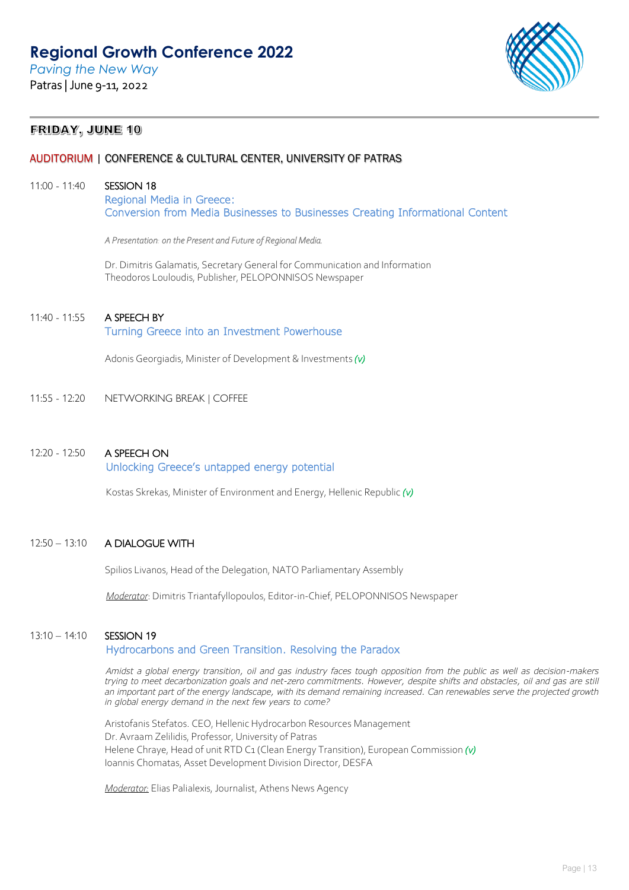

## FRIDAY, JUNE 10

## AUDITORIUM | CONFERENCE & CULTURAL CENTER, UNIVERSITY OF PATRAS

### 11:00 - 11:40 **SESSION 18**

Regional Media in Greece: Conversion from Media Businesses to Businesses Creating Informational Content

*A Presentation: on the Present and Future of Regional Media.* 

Dr. Dimitris Galamatis, Secretary General for Communication and Information Theodoros Louloudis, Publisher, PELOPONNISOS Newspaper

## 11:40 - 11:55 A SPEECH BY

### Turning Greece into an Investment Powerhouse

Adonis Georgiadis, Minister of Development & Investments *(v)*

11:55 - 12:20 NETWORKING BREAK | COFFEE

## 12:20 - 12:50 A SPEECH ON

### Unlocking Greece's untapped energy potential

Kostas Skrekas, Minister of Environment and Energy, Hellenic Republic *(v)*

## 12:50 – 13:10 A DIALOGUE WITH

Spilios Livanos, Head of the Delegation, NATO Parliamentary Assembly

*Moderator*: Dimitris Triantafyllopoulos, Editor-in-Chief, PELOPONNISOS Newspaper

### 13:10 – 14:10 SESSION 19

### Hydrocarbons and Green Transition. Resolving the Paradox

*Amidst a global energy transition, oil and gas industry faces tough opposition from the public as well as decision-makers trying to meet decarbonization goals and net-zero commitments. However, despite shifts and obstacles, oil and gas are still an important part of the energy landscape, with its demand remaining increased. Can renewables serve the projected growth in global energy demand in the next few years to come?*

Aristofanis Stefatos. CEO, Hellenic Hydrocarbon Resources Management Dr. Avraam Zelilidis, Professor, University of Patras Helene Chraye, Head of unit RTD C1 (Clean Energy Transition), European Commission *(v)* Ioannis Chomatas, Asset Development Division Director, DESFA

*Moderator:* Elias Palialexis, Journalist, Athens News Agency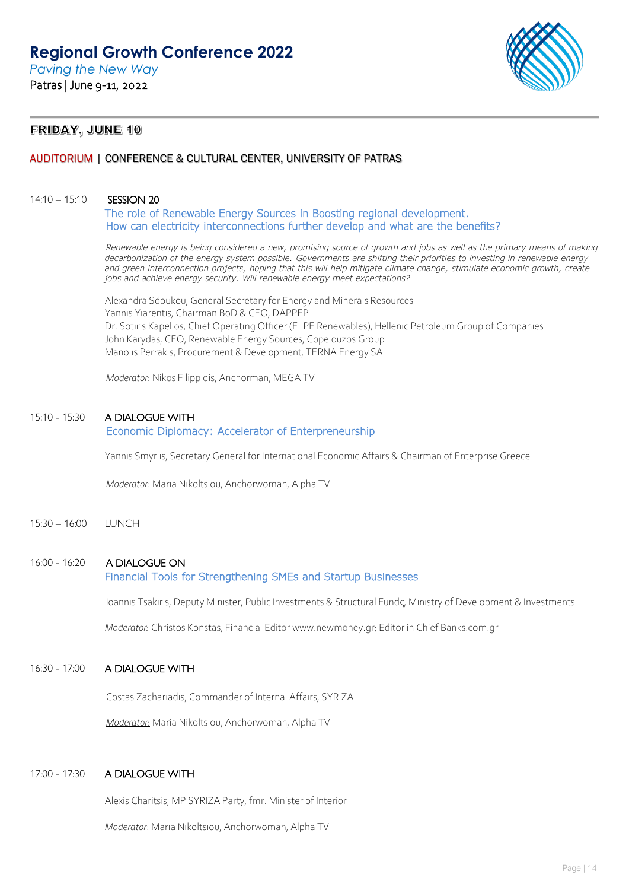

## FRIDAY, JUNE 10

## AUDITORIUM | CONFERENCE & CULTURAL CENTER, UNIVERSITY OF PATRAS

### 14:10 – 15:10 SESSION 20

The role of Renewable Energy Sources in Boosting regional development. How can electricity interconnections further develop and what are the benefits?

*Renewable energy is being considered a new, promising source of growth and jobs as well as the primary means of making decarbonization of the energy system possible. Governments are shifting their priorities to investing in renewable energy*  and green interconnection projects, hoping that this will help mitigate climate change, stimulate economic growth, create *jobs and achieve energy security. Will renewable energy meet expectations?*

Alexandra Sdoukou, General Secretary for Energy and Minerals Resources Yannis Yiarentis, Chairman BoD & CEO, DAPPEP Dr. Sotiris Kapellos, Chief Operating Officer (ELPE Renewables), Hellenic Petroleum Group of Companies John Karydas, CEO, Renewable Energy Sources, Copelouzos Group Manolis Perrakis, Procurement & Development, TERNA Energy SA

*Moderator:* Nikos Filippidis, Anchorman, MEGA TV

### 15:10 - 15:30 A DIALOGUE WITH

### Economic Diplomacy: Accelerator of Enterpreneurship

Yannis Smyrlis, Secretary General for International Economic Affairs & Chairman of Enterprise Greece

*Moderator:* Maria Nikoltsiou, Anchorwoman, Alpha TV

15:30 – 16:00 LUNCH

## 16:00 - 16:20 A DIALOGUE ON

## Financial Tools for Strengthening SMEs and Startup Businesses

Ioannis Tsakiris, Deputy Minister, Public Investments & Structural Fundς, Ministry of Development & Investments

*Moderator:* Christos Konstas, Financial Edito[r www.newmoney.gr;](http://www.newmoney.gr/) Editor in Chief Banks.com.gr

## 16:30 - 17:00 A DIALOGUE WITH

Costas Zachariadis, Commander of Internal Affairs, SYRIZA

*Moderator:* Maria Nikoltsiou, Anchorwoman, Alpha TV

### 17:00 - 17:30 A DIALOGUE WITH

Alexis Charitsis, MP SYRIZA Party, fmr. Minister of Interior

*Moderator*: Maria Nikoltsiou, Anchorwoman, Alpha TV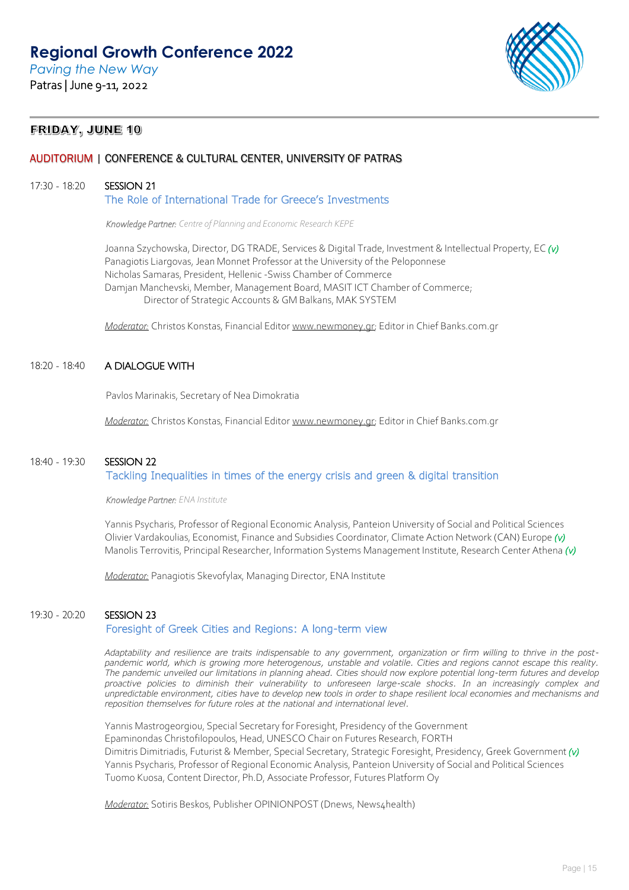*Paving the New Way* Patras | June 9-11, 2022



## FRIDAY, JUNE 10

## AUDITORIUM | CONFERENCE & CULTURAL CENTER, UNIVERSITY OF PATRAS

### 17:30 - 18:20 SESSION 21

The Role of International Trade for Greece's Investments

*Knowledge Partner: Centre of Planning and Economic Research KEPE* 

Joanna Szychowska, Director, DG TRADE, Services & Digital Trade, Investment & Intellectual Property, EC *(v)* Panagiotis Liargovas, Jean Monnet Professor at the University of the Peloponnese Nicholas Samaras, President, Hellenic -Swiss Chamber of Commerce Damjan Manchevski, Member, Management Board, MASIT ICT Chamber of Commerce; Director of Strategic Accounts & GM Balkans, MAK SYSTEM

*Moderator:* Christos Konstas, Financial Edito[r www.newmoney.gr;](http://www.newmoney.gr/) Editor in Chief Banks.com.gr

### 18:20 - 18:40 A DIALOGUE WITH

Pavlos Marinakis, Secretary of Nea Dimokratia

*Moderator:* Christos Konstas, Financial Edito[r www.newmoney.gr;](http://www.newmoney.gr/) Editor in Chief Banks.com.gr

## 18:40 - 19:30 SESSION 22

## Tackling Inequalities in times of the energy crisis and green & digital transition

*Knowledge Partner: ENA Institute* 

Yannis Psycharis, Professor of Regional Economic Analysis, Panteion University of Social and Political Sciences Olivier Vardakoulias, Economist, Finance and Subsidies Coordinator, Climate Action Network (CAN) Europe *(v)* Manolis Terrovitis, Principal Researcher, Information Systems Management Institute, Research Center Athena *(v)*

*Moderator:* Panagiotis Skevofylax, Managing Director, ENA Institute

### 19:30 - 20:20 SESSION 23

### Foresight of Greek Cities and Regions: A long-term view

*Adaptability and resilience are traits indispensable to any government, organization or firm willing to thrive in the postpandemic world, which is growing more heterogenous, unstable and volatile. Cities and regions cannot escape this reality. The pandemic unveiled our limitations in planning ahead. Cities should now explore potential long-term futures and develop*  proactive policies to diminish their vulnerability to unforeseen large-scale shocks. In an increasingly complex and *unpredictable environment, cities have to develop new tools in order to shape resilient local economies and mechanisms and reposition themselves for future roles at the national and international level.* 

Yannis Mastrogeorgiou, Special Secretary for Foresight, Presidency of the Government Epaminondas Christofilopoulos, Head, UNESCO Chair on Futures Research, FORTH Dimitris Dimitriadis, Futurist & Member, Special Secretary, Strategic Foresight, Presidency, Greek Government *(v)* Yannis Psycharis, Professor of Regional Economic Analysis, Panteion University of Social and Political Sciences Tuomo Kuosa, Content Director, Ph.D, Associate Professor, Futures Platform Oy

*Moderator:* Sotiris Beskos, Publisher OPINIONPOST (Dnews, News4health)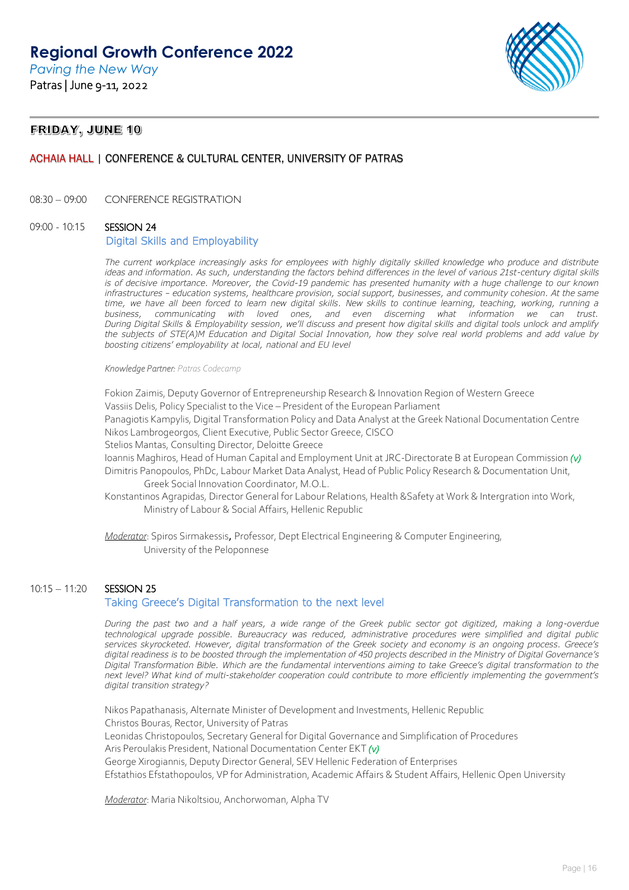

## FRIDAY, JUNE 10

## ACHAIA HALL | CONFERENCE & CULTURAL CENTER, UNIVERSITY OF PATRAS

08:30 – 09:00 CONFERENCE REGISTRATION

## 09:00 - 10:15 SESSION 24

### Digital Skills and Employability

The current workplace increasingly asks for employees with highly digitally skilled knowledge who produce and distribute ideas and information. As such, understanding the factors behind differences in the level of various 21st-century digital skills is of decisive importance. Moreover, the Covid-19 pandemic has presented humanity with a huge challenge to our known *infrastructures – education systems, healthcare provision, social support, businesses, and community cohesion. At the same time, we have all been forced to learn new digital skills. New skills to continue learning, teaching, working, running a business, communicating with loved ones, and even discerning what information we can trust. During Digital Skills & Employability session, we'll discuss and present how digital skills and digital tools unlock and amplify the subjects of STE(A)M Education and Digital Social Innovation, how they solve real world problems and add value by boosting citizens' employability at local, national and EU level*

#### *Knowledge Partner: Patras Codecamp*

Fokion Zaimis, Deputy Governor of Entrepreneurship Research & Innovation Region of Western Greece Vassiis Delis, Policy Specialist to the Vice – President of the European Parliament Panagiotis Kampylis, Digital Transformation Policy and Data Analyst at the Greek National Documentation Centre Nikos Lambrogeorgos, Client Executive, Public Sector Greece, CISCO

Stelios Mantas, Consulting Director, Deloitte Greece

Ioannis Maghiros, Head of Human Capital and Employment Unit at JRC-Directorate B at European Commission *(v)*

Dimitris Panopoulos, PhDc, Labour Market Data Analyst, Head of Public Policy Research & Documentation Unit, Greek Social Innovation Coordinator, M.O.L.

Konstantinos Agrapidas, Director General for Labour Relations, Health &Safety at Work & Intergration into Work, Ministry of Labour & Social Affairs, Hellenic Republic

*Moderator*: Spiros Sirmakessis, Professor, Dept Electrical Engineering & Computer Engineering, University of the Peloponnese

### 10:15 – 11:20 SESSION 25

## Taking Greece's Digital Transformation to the next level

*During the past two and a half years, a wide range of the Greek public sector got digitized, making a long-overdue technological upgrade possible. Bureaucracy was reduced, administrative procedures were simplified and digital public services skyrocketed. However, digital transformation of the Greek society and economy is an ongoing process. Greece's digital readiness is to be boosted through the implementation of 450 projects described in the Ministry of Digital Governance's Digital Transformation Bible. Which are the fundamental interventions aiming to take Greece's digital transformation to the next level? What kind of multi-stakeholder cooperation could contribute to more efficiently implementing the government's digital transition strategy?* 

Nikos Papathanasis, Alternate Minister of Development and Investments, Hellenic Republic Christos Bouras, Rector, University of Patras Leonidas Christopoulos, Secretary General for Digital Governance and Simplification of Procedures Aris Peroulakis President, National Documentation Center ΕΚΤ *(v)* George Xirogiannis, Deputy Director General, SEV Hellenic Federation of Enterprises Efstathios Efstathopoulos, VP for Administration, Academic Affairs & Student Affairs, Hellenic Open University

*Moderator*: Maria Nikoltsiou, Anchorwoman, Alpha TV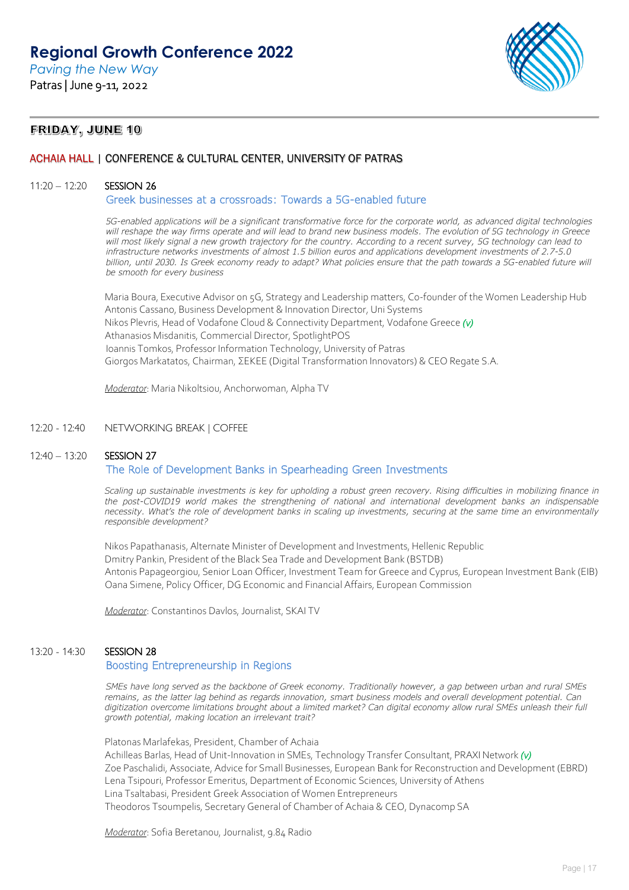*Paving the New Way* Patras | June 9-11, 2022



## FRIDAY, JUNE 10

## ACHAIA HALL | CONFERENCE & CULTURAL CENTER, UNIVERSITY OF PATRAS

### 11:20 – 12:20 SESSION 26

Greek businesses at a crossroads: Towards a 5G-enabled future

*5G-enabled applications will be a significant transformative force for the corporate world, as advanced digital technologies will reshape the way firms operate and will lead to brand new business models. The evolution of 5G technology in Greece will most likely signal a new growth trajectory for the country. According to a recent survey, 5G technology can lead to infrastructure networks investments of almost 1.5 billion euros and applications development investments of 2.7-5.0 billion, until 2030. Is Greek economy ready to adapt? What policies ensure that the path towards a 5G-enabled future will be smooth for every business*

Maria Boura, Executive Advisor on 5G, Strategy and Leadership matters, Co-founder of the Women Leadership Hub Antonis Cassano, Business Development & Innovation Director, Uni Systems Nikos Plevris, Head of Vodafone Cloud & Connectivity Department, Vodafone Greece *(v)* Athanasios Misdanitis, Commercial Director, SpotlightPOS Ioannis Tomkos, Professor Information Technology, University of Patras Giorgos Markatatos, Chairman, ΣΕΚΕΕ (Digital Transformation Innovators) & CEO Regate S.A.

*Moderator*: Maria Nikoltsiou, Anchorwoman, Alpha TV

### 12:20 - 12:40 NETWORKING BREAK | COFFEE

## 12:40 – 13:20 SESSION 27

## The Role of Development Banks in Spearheading Green Investments

*Scaling up sustainable investments is key for upholding a robust green recovery. Rising difficulties in mobilizing finance in*  the post-COVID19 world makes the strengthening of national and international development banks an indispensable *necessity. What's the role of development banks in scaling up investments, securing at the same time an environmentally responsible development?*

Nikos Papathanasis, Alternate Minister of Development and Investments, Hellenic Republic Dmitry Pankin, President of the Black Sea Trade and Development Bank (BSTDB) Antonis Papageorgiou, Senior Loan Officer, Investment Team for Greece and Cyprus, European Investment Bank (EIB) Oana Simene, Policy Officer, DG Economic and Financial Affairs, European Commission

*Moderator*: Constantinos Davlos, Journalist, SKAI TV

### 13:20 - 14:30 SESSION 28

### Boosting Entrepreneurship in Regions

*SMEs have long served as the backbone of Greek economy. Traditionally however, a gap between urban and rural SMEs remains, as the latter lag behind as regards innovation, smart business models and overall development potential. Can digitization overcome limitations brought about a limited market? Can digital economy allow rural SMEs unleash their full growth potential, making location an irrelevant trait?*

Platonas Marlafekas, President, Chamber of Achaia Αchilleas Barlas, Head of Unit-Innovation in SMEs, Technology Transfer Consultant, PRAXI Network *(v)* Zoe Paschalidi, Associate, Advice for Small Businesses, European Bank for Reconstruction and Development (EBRD) Lena Tsipouri, Professor Emeritus, Department of Economic Sciences, University of Athens Lina Tsaltabasi, President Greek Association of Women Entrepreneurs Theodoros Tsoumpelis, Secretary General of Chamber of Achaia & CEO, Dynacomp SA

*Moderator*: Sofia Beretanou, Journalist, 9.84 Radio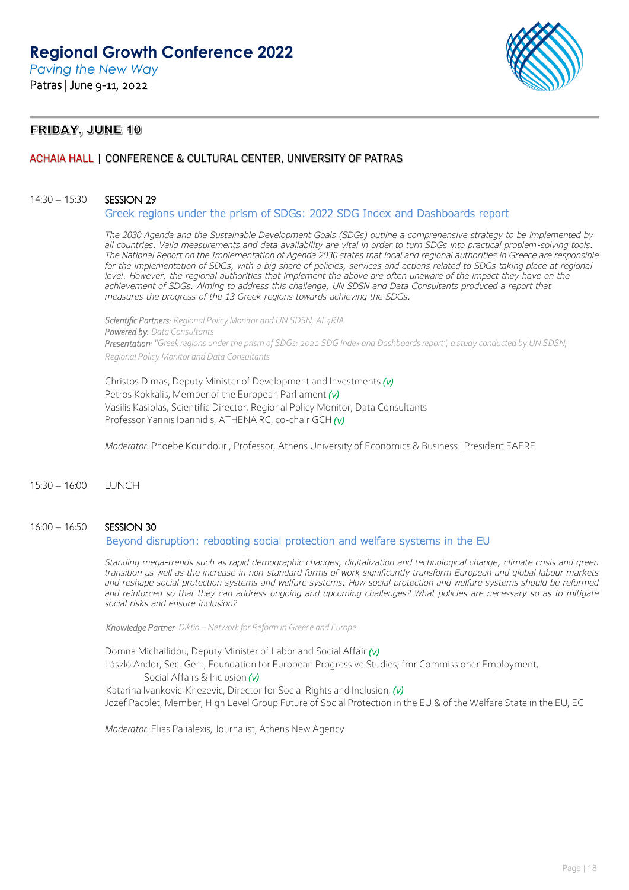*Paving the New Way* Patras | June 9-11, 2022



## FRIDAY, JUNE 10

## ACHAIA HALL | CONFERENCE & CULTURAL CENTER, UNIVERSITY OF PATRAS

#### 14:30 – 15:30 SESSION 29

#### Greek regions under the prism of SDGs: 2022 SDG Index and Dashboards report

*The 2030 Agenda and the Sustainable Development Goals (SDGs) outline a comprehensive strategy to be implemented by all countries. Valid measurements and data availability are vital in order to turn SDGs into practical problem-solving tools. The National Report on the Implementation of Agenda 2030 states that local and regional authorities in Greece are responsible for the implementation of SDGs, with a big share of policies, services and actions related to SDGs taking place at regional level. However, the regional authorities that implement the above are often unaware of the impact they have on the achievement of SDGs. Aiming to address this challenge, UN SDSN and Data Consultants produced a report that measures the progress of the 13 Greek regions towards achieving the SDGs.*

*Scientific Partners: Regional Policy Monitor and UN SDSN, AE4RIA Powered by: Data Consultants Presentation: "Greek regions under the prism of SDGs: 2022 SDG Index and Dashboards report", a study conducted by UN SDSN, Regional Policy Monitor and Data Consultants* 

Christos Dimas, Deputy Minister of Development and Investments *(v)* Petros Kokkalis, Member of the European Parliament *(v)* Vasilis Kasiolas, Scientific Director, Regional Policy Monitor, Data Consultants Professor Yannis Ioannidis, ATHENA RC, co-chair GCH *(v)* 

*Moderator:* Phoebe Koundouri, Professor, Athens University of Economics & Business | President EAERE

15:30 – 16:00 LUNCH

## 16:00 – 16:50 SESSION 30

### Beyond disruption: rebooting social protection and welfare systems in the EU

*Standing mega-trends such as rapid demographic changes, digitalization and technological change, climate crisis and green transition as well as the increase in non-standard forms of work significantly transform European and global labour markets*  and reshape social protection systems and welfare systems. How social protection and welfare systems should be reformed *and reinforced so that they can address ongoing and upcoming challenges? What policies are necessary so as to mitigate social risks and ensure inclusion?*

*Knowledge Partner: Diktio – Network for Reform in Greece and Europe*

Domna Michailidou, Deputy Minister of Labor and Social Affair *(v)* 

László Andor, Sec. Gen., Foundation for European Progressive Studies; fmr Commissioner Employment, Social Affairs & Inclusion *(v)*

Katarina Ivankovic-Knezevic, Director for Social Rights and Inclusion, *(v)* 

Jozef Pacolet, Member, High Level Group Future of Social Protection in the EU & of the Welfare State in the EU, EC

*Moderator:* Elias Palialexis, Journalist, Athens New Agency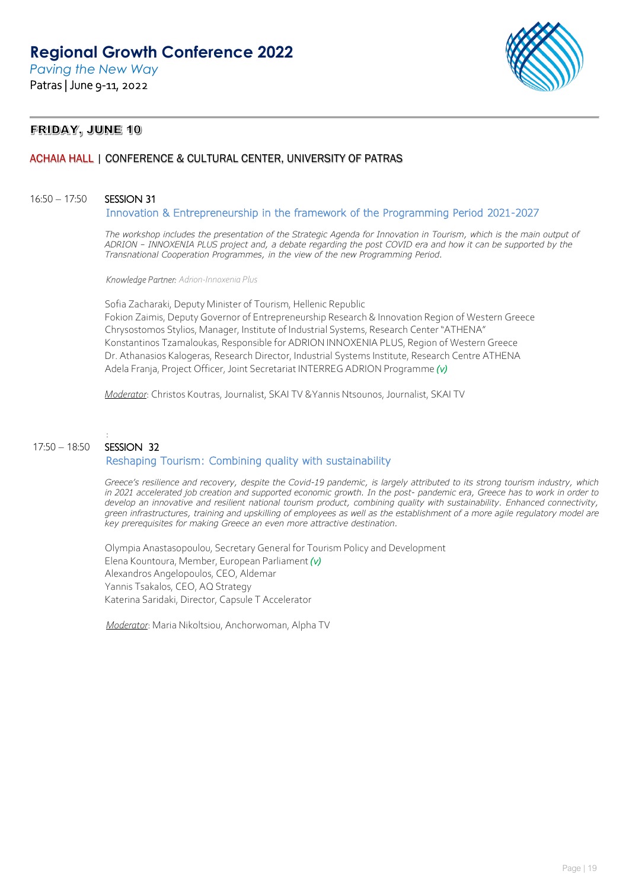*Paving the New Way* Patras | June 9-11, 2022



## FRIDAY, JUNE 10

## ACHAIA HALL | CONFERENCE & CULTURAL CENTER, UNIVERSITY OF PATRAS

### 16:50 – 17:50 SESSION 31

Innovation & Entrepreneurship in the framework of the Programming Period 2021-2027

*The workshop includes the presentation of the Strategic Agenda for Innovation in Tourism, which is the main output of ADRION – INNOXENIA PLUS project and, a debate regarding the post COVID era and how it can be supported by the Transnational Cooperation Programmes, in the view of the new Programming Period.*

*Knowledge Partner: Adrion-Innoxenia Plus*

Sofia Zacharaki, Deputy Minister of Tourism, Hellenic Republic Fokion Zaimis, Deputy Governor of Entrepreneurship Research & Innovation Region of Western Greece Chrysostomos Stylios, Manager, Institute of Industrial Systems, Research Center "ATHENA" Konstantinos Tzamaloukas, Responsible for ADRION INNOXENIA PLUS, Region of Western Greece Dr. Athanasios Kalogeras, Research Director, Industrial Systems Institute, Research Centre ATHENA Adela Franja, Project Officer, Joint Secretariat INTERREG ADRION Programme *(v)*

*Moderator*: Christos Koutras, Journalist, SKAI TV &Yannis Ntsounos, Journalist, SKAI TV

### : 17:50 – 18:50 SESSION 32 Reshaping Tourism: Combining quality with sustainability

*Greece's resilience and recovery, despite the Covid-19 pandemic, is largely attributed to its strong tourism industry, which in 2021 accelerated job creation and supported economic growth. In the post- pandemic era, Greece has to work in order to develop an innovative and resilient national tourism product, combining quality with sustainability. Enhanced connectivity, green infrastructures, training and upskilling of employees as well as the establishment of a more agile regulatory model are key prerequisites for making Greece an even more attractive destination.*

Olympia Anastasopoulou, Secretary General for Tourism Policy and Development Elena Kountoura, Member, European Parliament *(v)* Alexandros Angelopoulos, CEO, Aldemar Yannis Tsakalos, CEO, AQ Strategy Katerina Saridaki, Director, Capsule T Accelerator

*Moderator*: Maria Nikoltsiou, Anchorwoman, Alpha TV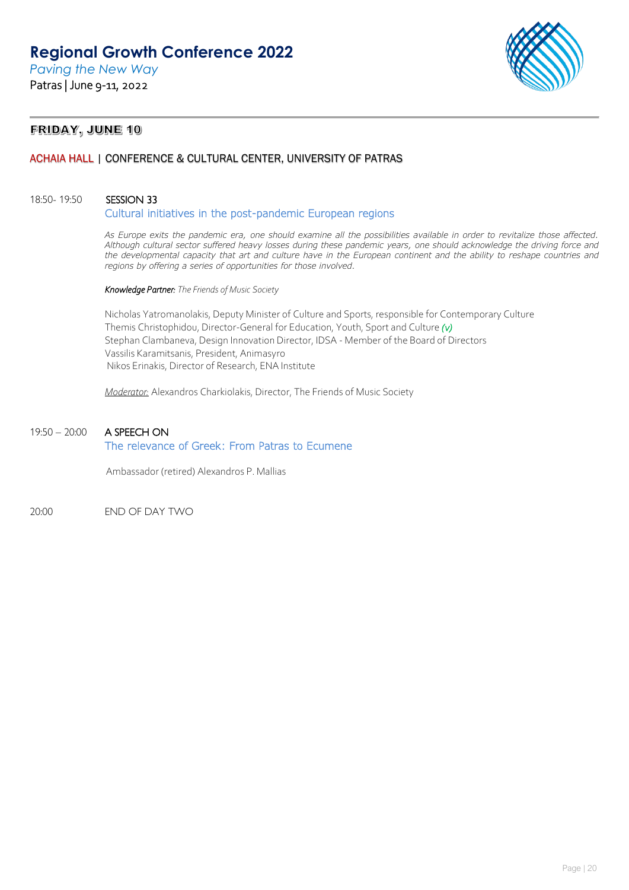

## FRIDAY, JUNE 10

## ACHAIA HALL | CONFERENCE & CULTURAL CENTER, UNIVERSITY OF PATRAS

## 18:50- 19:50 SESSION 33

Cultural initiatives in the post-pandemic European regions

*As Europe exits the pandemic era, one should examine all the possibilities available in order to revitalize those affected. Although cultural sector suffered heavy losses during these pandemic years, one should acknowledge the driving force and the developmental capacity that art and culture have in the European continent and the ability to reshape countries and regions by offering a series of opportunities for those involved.*

*Knowledge Partner: The Friends of Music Society*

Nicholas Yatromanolakis, Deputy Minister of Culture and Sports, responsible for Contemporary Culture Themis Christophidou, Director-General for Education, Youth, Sport and Culture *(v)*  Stephan Clambaneva, Design Innovation Director, IDSA - Member of the Board of Directors Vassilis Karamitsanis, President, Animasyro Nikos Erinakis, Director of Research, ENA Institute

*Moderator:* Alexandros Charkiolakis, Director, The Friends of Music Society

## 19:50 – 20:00 A SPEECH ON The relevance of Greek: From Patras to Ecumene

Ambassador (retired) Alexandros P. Mallias

20:00 END OF DAY TWO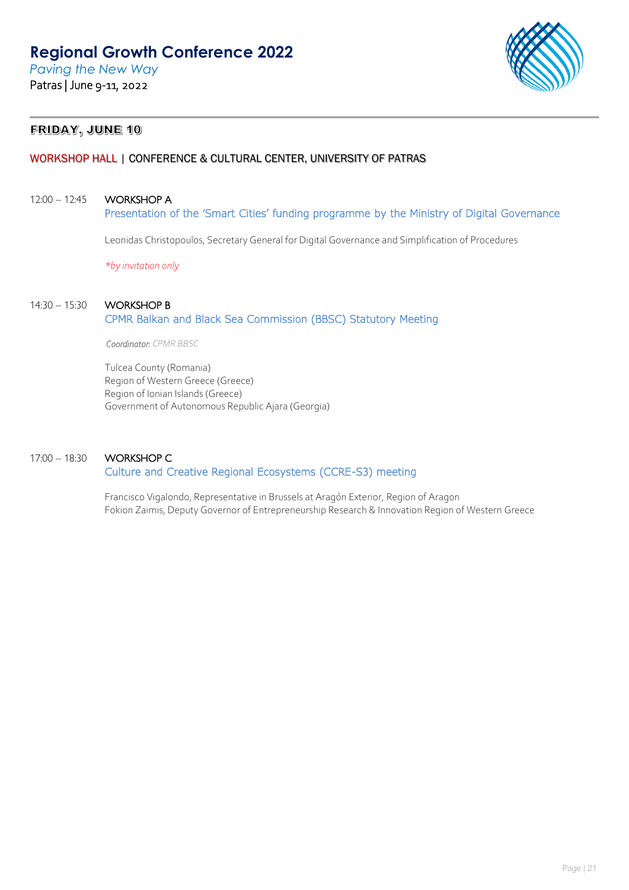

## FRIDAY, JUNE 10

## WORKSHOP HALL | CONFERENCE & CULTURAL CENTER, UNIVERSITY OF PATRAS

### 12:00 – 12:45 WORKSHOP A

Presentation of the 'Smart Cities' funding programme by the Ministry of Digital Governance

Leonidas Christopoulos, Secretary General for Digital Governance and Simplification of Procedures

*\*by invitation only*

### 14:30 – 15:30 WORKSHOP B

## CPMR Balkan and Black Sea Commission (BBSC) Statutory Meeting

*Coordinator: CPMR BBSC* 

Tulcea County (Romania) Region of Western Greece (Greece) Region of Ionian Islands (Greece) Government of Autonomous Republic Ajara (Georgia)

## 17:00 – 18:30 WORKSHOP C

## Culture and Creative Regional Ecosystems (CCRE-S3) meeting

Francisco Vigalondo, Representative in Brussels at Aragón Exterior, Region of Aragon Fokion Zaimis, Deputy Governor of Entrepreneurship Research & Innovation Region of Western Greece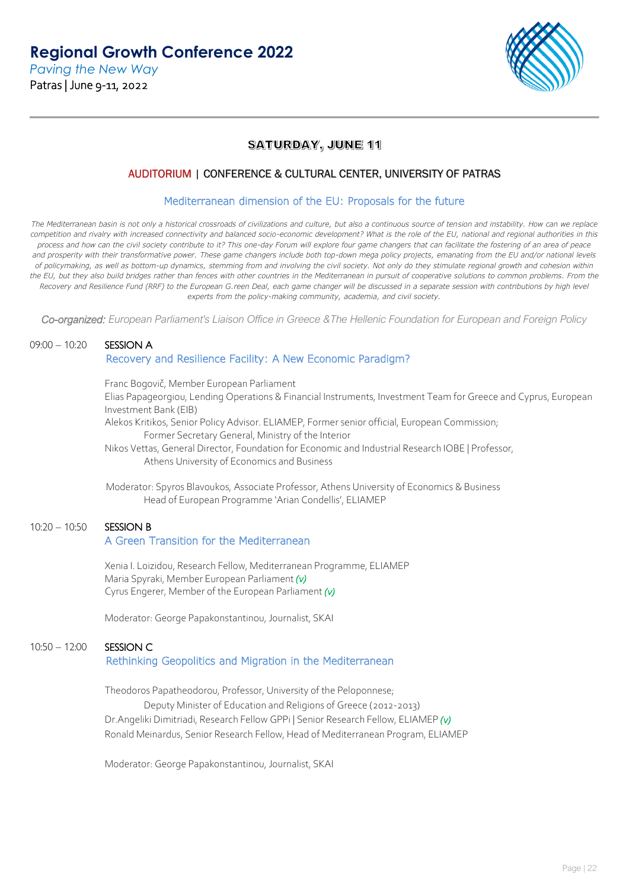

## **SATURDAY, JUNE 11**

## AUDITORIUM | CONFERENCE & CULTURAL CENTER, UNIVERSITY OF PATRAS

### Mediterranean dimension of the EU: Proposals for the future

*The Mediterranean basin is not only a historical crossroads of civilizations and culture, but also a continuous source of tension and instability. How can we replace*  competition and rivalry with increased connectivity and balanced socio-economic development? What is the role of the EU, national and regional authorities in this *process and how can the civil society contribute to it? This one-day Forum will explore four game changers that can facilitate the fostering of an area of peace*  and prosperity with their transformative power. These game changers include both top-down mega policy projects, emanating from the EU and/or national levels *of policymaking, as well as bottom-up dynamics, stemming from and involving the civil society. Not only do they stimulate regional growth and cohesion within*  the EU, but they also build bridges rather than fences with other countries in the Mediterranean in pursuit of cooperative solutions to common problems. From the *Recovery and Resilience Fund (RRF) to the European G.reen Deal, each game changer will be discussed in a separate session with contributions by high level experts from the policy-making community, academia, and civil society.*

*Co-organized: European Parliament's Liaison Office in Greece &The Hellenic Foundation for European and Foreign Policy*

## 09:00 – 10:20 SESSION A

### Recovery and Resilience Facility: A New Economic Paradigm?

Franc Bogovič, Member European Parliament Elias Papageorgiou, Lending Operations & Financial Instruments, Investment Team for Greece and Cyprus, European Investment Bank (EIB) Alekos Kritikos, Senior Policy Advisor. ELIAMEP, Former senior official, European Commission; Former Secretary General, Ministry of the Interior

Nikos Vettas, General Director, Foundation for Economic and Industrial Research IOBE | Professor, Athens University of Economics and Business

 Moderator: Spyros Blavoukos, Associate Professor, Athens University of Economics & Business Head of European Programme 'Arian Condellis', ELIAMEP

## 10:20 - 10:50 SESSION B

## A Green Transition for the Mediterranean

Xenia I. Loizidou, Research Fellow, Mediterranean Programme, ELIAMEP Maria Spyraki, Member European Parliament *(v)* Cyrus Engerer, Member of the European Parliament *(v)*

Moderator: George Papakonstantinou, Journalist, SKAI

## 10:50 – 12:00 SESSION C Rethinking Geopolitics and Migration in the Mediterranean

Theodoros Papatheodorou, Professor, University of the Peloponnese; Deputy Minister of Education and Religions of Greece (2012-2013) Dr.Angeliki Dimitriadi, Research Fellow GPPi | Senior Research Fellow, ELIAMEP *(v)*  Ronald Meinardus, Senior Research Fellow, Head of Mediterranean Program, ELIAMEP

Moderator: George Papakonstantinou, Journalist, SKAI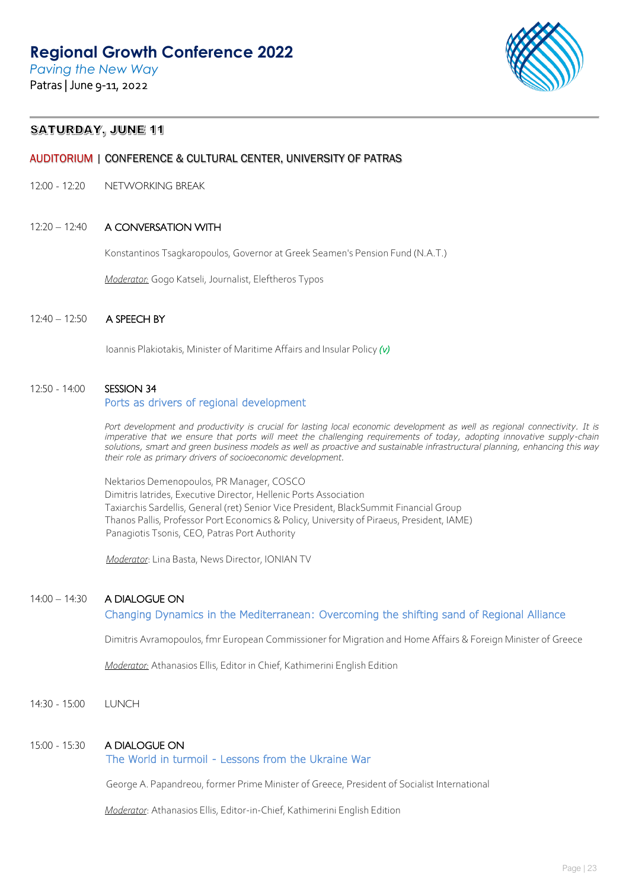*Paving the New Way* Patras | June 9-11, 2022



## **SATURDAY, JUNE 11**

## AUDITORIUM | CONFERENCE & CULTURAL CENTER, UNIVERSITY OF PATRAS

12:00 - 12:20 NETWORKING BREAK

### 12:20 – 12:40 A CONVERSATION WITH

Konstantinos Tsagkaropoulos, Governor at Greek Seamen's Pension Fund (N.A.T.)

*Moderator:* Gogo Katseli, Journalist, Eleftheros Typos

### 12:40 – 12:50 A SPEECH BY

Ioannis Plakiotakis, Minister of Maritime Affairs and Insular Policy *(v)*

### 12:50 - 14:00 SESSION 34

#### Ports as drivers of regional development

Port development and productivity is crucial for lasting local economic development as well as regional connectivity. It is imperative that we ensure that ports will meet the challenging requirements of today, adopting innovative supply-chain *solutions, smart and green business models as well as proactive and sustainable infrastructural planning, enhancing this way their role as primary drivers of socioeconomic development.*

Nektarios Demenopoulos, PR Manager, COSCO Dimitris Iatrides, Executive Director, Hellenic Ports Association Taxiarchis Sardellis, General (ret) Senior Vice President, BlackSummit Financial Group Thanos Pallis, Professor Port Economics & Policy, University of Piraeus, President, IAME) Panagiotis Tsonis, CEO, Patras Port Authority

*Moderator*: Lina Basta, News Director, IONIAN TV

### 14:00 – 14:30 A DIALOGUE ON

Changing Dynamics in the Mediterranean: Overcoming the shifting sand of Regional Alliance

Dimitris Avramopoulos, fmr European Commissioner for Migration and Home Affairs & Foreign Minister of Greece

*Moderator:* Athanasios Ellis, Editor in Chief, Kathimerini English Edition

14:30 - 15:00 LUNCH

### 15:00 - 15:30 A DIALOGUE ON

### The World in turmoil - Lessons from the Ukraine War

George A. Papandreou, former Prime Minister of Greece, President of Socialist International

*Moderator*: Athanasios Ellis, Editor-in-Chief, Kathimerini English Edition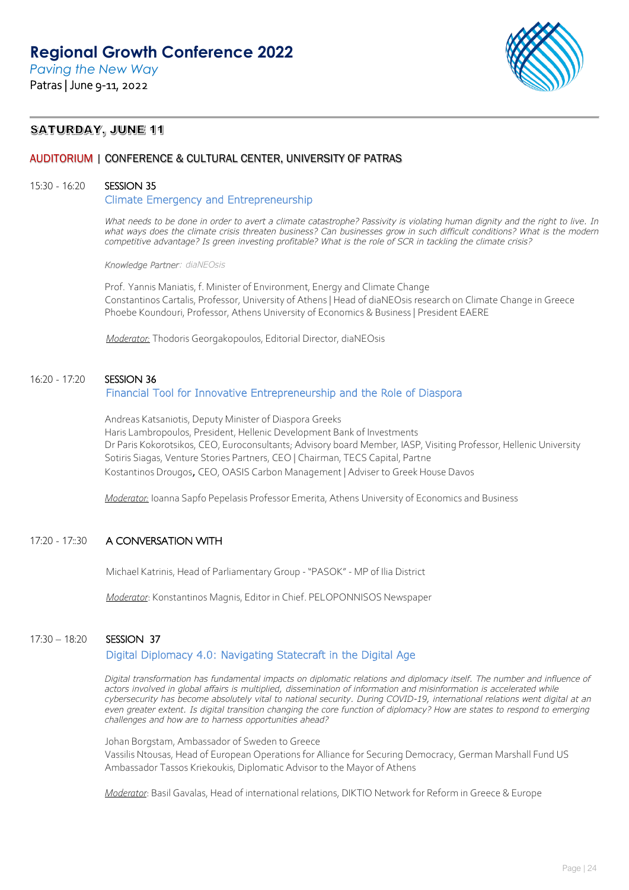

## **SATURDAY, JUNE 11**

## AUDITORIUM | CONFERENCE & CULTURAL CENTER, UNIVERSITY OF PATRAS

### 15:30 - 16:20 SESSION 35

### Climate Emergency and Entrepreneurship

*What needs to be done in order to avert a climate catastrophe? Passivity is violating human dignity and the right to live. In* what ways does the climate crisis threaten business? Can businesses grow in such difficult conditions? What is the modern *competitive advantage? Is green investing profitable? What is the role of SCR in tackling the climate crisis?*

#### *Knowledge Partner: diaNEOsis*

Prof. Yannis Maniatis, f. Minister of Environment, Energy and Climate Change Constantinos Cartalis, Professor, University of Athens | Head of diaNEOsis research on Climate Change in Greece Phoebe Koundouri, Professor, Athens University of Economics & Business | President EAERE

*Moderator:* Thodoris Georgakopoulos, Editorial Director, diaNEOsis

## 16:20 - 17:20 SESSION 36

## Financial Tool for Innovative Entrepreneurship and the Role of Diaspora

Andreas Katsaniotis, Deputy Minister of Diaspora Greeks Haris Lambropoulos, President, Hellenic Development Bank of Investments Dr Paris Kokorotsikos, CEO, Euroconsultants; Advisory board Member, IASP, Visiting Professor, Hellenic University Sotiris Siagas, Venture Stories Partners, CEO | Chairman, TECS Capital, Partne Kostantinos Drougos, CEO, OASIS Carbon Management | Adviser to Greek House Davos

*Moderator:* Ioanna Sapfo Pepelasis Professor Emerita, Athens University of Economics and Business

## 17:20 - 17:30 A CONVERSATION WITH

Michael Katrinis, Head of Parliamentary Group - "PASOK" - MP of Ilia District

*Moderator*: Konstantinos Magnis, Editor in Chief. PELOPONNISOS Newspaper

## 17:30 – 18:20 SESSION 37

## Digital Diplomacy 4.0: Navigating Statecraft in the Digital Age

*Digital transformation has fundamental impacts on diplomatic relations and diplomacy itself. The number and influence of*  actors involved in global affairs is multiplied, dissemination of information and misinformation is accelerated while *cybersecurity has become absolutely vital to national security. During COVID-19, international relations went digital at an even greater extent. Is digital transition changing the core function of diplomacy? How are states to respond to emerging challenges and how are to harness opportunities ahead?*

Johan Borgstam, Ambassador of Sweden to Greece Vassilis Ntousas, Head of European Operations for Alliance for Securing Democracy, German Marshall Fund US Ambassador Tassos Kriekoukis, Diplomatic Advisor to the Mayor of Athens

*Moderator*: Basil Gavalas, Head of international relations, DIKTIO Network for Reform in Greece & Europe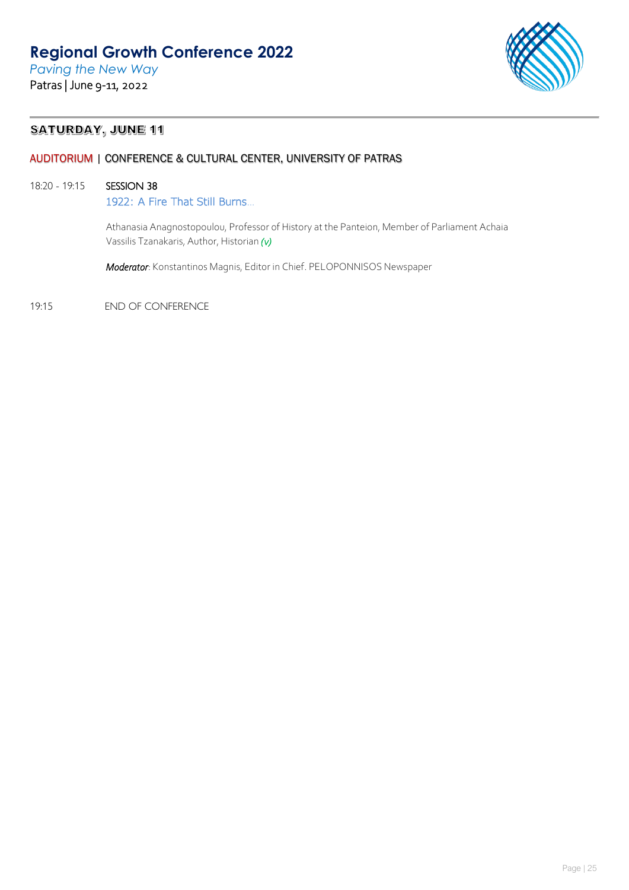

## **SATURDAY, JUNE 11**

## AUDITORIUM | CONFERENCE & CULTURAL CENTER, UNIVERSITY OF PATRAS

## 18:20 - 19:15 SESSION 38

1922: A Fire That Still Burns…

Athanasia Anagnostopoulou, Professor of History at the Panteion, Member of Parliament Achaia Vassilis Tzanakaris, Author, Historian *(v)* 

*Moderator*: Konstantinos Magnis, Editor in Chief. PELOPONNISOS Newspaper

19:15 END OF CONFERENCE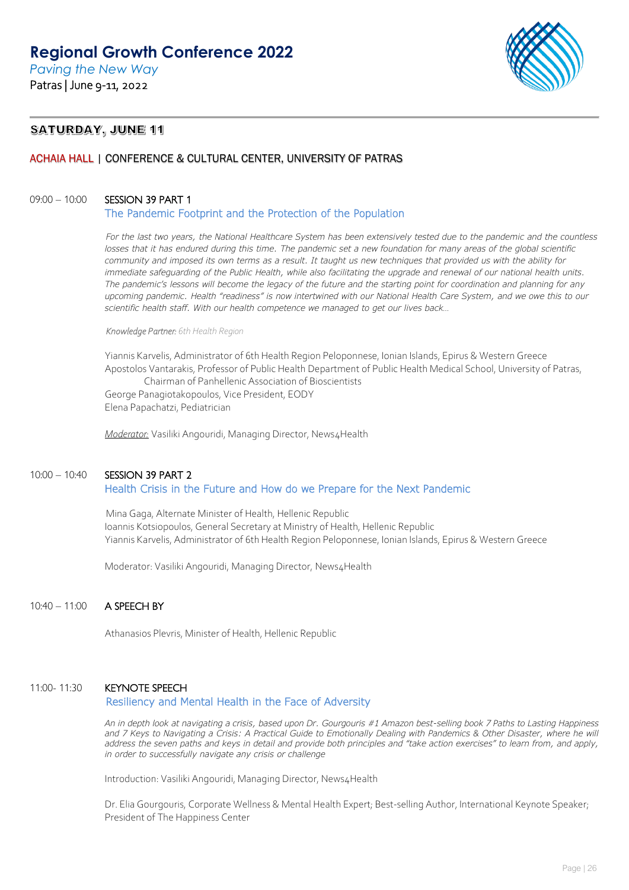

## **SATURDAY, JUNE 11**

## ACHAIA HALL | CONFERENCE & CULTURAL CENTER, UNIVERSITY OF PATRAS

### 09:00 - 10:00 SESSION 39 PART 1

The Pandemic Footprint and the Protection of the Population

*For the last two years, the National Healthcare System has been extensively tested due to the pandemic and the countless losses that it has endured during this time. The pandemic set a new foundation for many areas of the global scientific community and imposed its own terms as a result. It taught us new techniques that provided us with the ability for immediate safeguarding of the Public Health, while also facilitating the upgrade and renewal of our national health units. The pandemic's lessons will become the legacy of the future and the starting point for coordination and planning for any upcoming pandemic. Health "readiness" is now intertwined with our National Health Care System, and we owe this to our scientific health staff. With our health competence we managed to get our lives back…*

*Knowledge Partner: 6th Health Region* 

Yiannis Karvelis, Administrator of 6th Health Region Peloponnese, Ionian Islands, Epirus & Western Greece Apostolos Vantarakis, Professor of Public Health Department of Public Health Medical School, University of Patras, Chairman of Panhellenic Association of Bioscientists

George Panagiotakopoulos, Vice President, EODY Elena Papachatzi, Pediatrician

*Moderator:* Vasiliki Angouridi, Managing Director, News4Health

#### 10:00 – 10:40 SESSION 39 PART 2

### Health Crisis in the Future and How do we Prepare for the Next Pandemic

Mina Gaga, Alternate Minister of Health, Hellenic Republic Ioannis Kotsiopoulos, General Secretary at Ministry of Health, Hellenic Republic Yiannis Karvelis, Administrator of 6th Health Region Peloponnese, Ionian Islands, Epirus & Western Greece

Moderator: Vasiliki Angouridi, Managing Director, News4Health

### 10:40 – 11:00 A SPEECH BY

Athanasios Plevris, Minister of Health, Hellenic Republic

### 11:00- 11:30 KEYNOTE SPEECH

### Resiliency and Mental Health in the Face of Adversity

*An in depth look at navigating a crisis, based upon Dr. Gourgouris #1 Amazon best-selling book 7 Paths to Lasting Happiness*  and 7 Keys to Navigating a Crisis: A Practical Guide to Emotionally Dealing with Pandemics & Other Disaster, where he will *address the seven paths and keys in detail and provide both principles and "take action exercises" to learn from, and apply, in order to successfully navigate any crisis or challenge*

Introduction: Vasiliki Angouridi, Managing Director, News4Health

Dr. Elia Gourgouris, Corporate Wellness & Mental Health Expert; Best-selling Author, International Keynote Speaker; President of The Happiness Center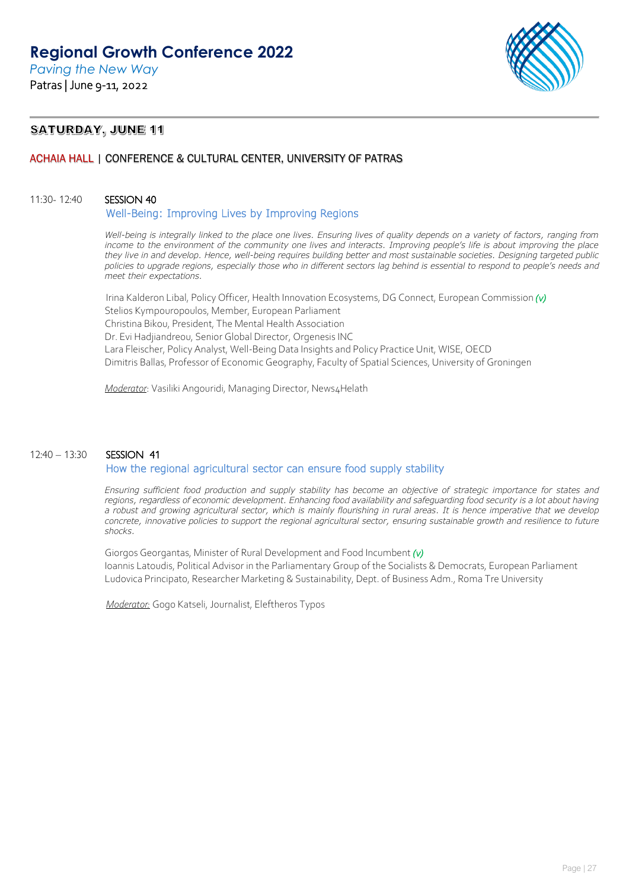

## **SATURDAY, JUNE 11**

## ACHAIA HALL | CONFERENCE & CULTURAL CENTER, UNIVERSITY OF PATRAS

### 11:30- 12:40 SESSION 40

### Well-Being: Improving Lives by Improving Regions

*Well-being is integrally linked to the place one lives. Ensuring lives of quality depends on a variety of factors, ranging from income to the environment of the community one lives and interacts. Improving people's life is about improving the place they live in and develop. Hence, well-being requires building better and most sustainable societies. Designing targeted public policies to upgrade regions, especially those who in different sectors lag behind is essential to respond to people's needs and meet their expectations.* 

Irina Kalderon Libal, Policy Officer, Health Innovation Ecosystems, DG Connect, European Commission *(v)* Stelios Kympouropoulos, Member, European Parliament Christina Bikou, President, The Mental Health Association Dr. Evi Hadjiandreou, Senior Global Director, Orgenesis INC Lara Fleischer, Policy Analyst, Well-Being Data Insights and Policy Practice Unit, WISE, OECD Dimitris Ballas, Professor of Economic Geography, Faculty of Spatial Sciences, University of Groningen

*Moderator*: Vasiliki Angouridi, Managing Director, News4Helath

## 12:40 – 13:30 SESSION 41 How the regional agricultural sector can ensure food supply stability

*Ensuring sufficient food production and supply stability has become an objective of strategic importance for states and regions, regardless of economic development. Enhancing food availability and safeguarding food security is a lot about having a robust and growing agricultural sector, which is mainly flourishing in rural areas. It is hence imperative that we develop concrete, innovative policies to support the regional agricultural sector, ensuring sustainable growth and resilience to future shocks.*

Giorgos Georgantas, Minister of Rural Development and Food Incumbent *(v)* Ioannis Latoudis, Political Advisor in the Parliamentary Group of the Socialists & Democrats, European Parliament Ludovica Principato, Researcher Marketing & Sustainability, Dept. of Business Adm., Roma Tre University

*Moderator:* Gogo Katseli, Journalist, Eleftheros Typos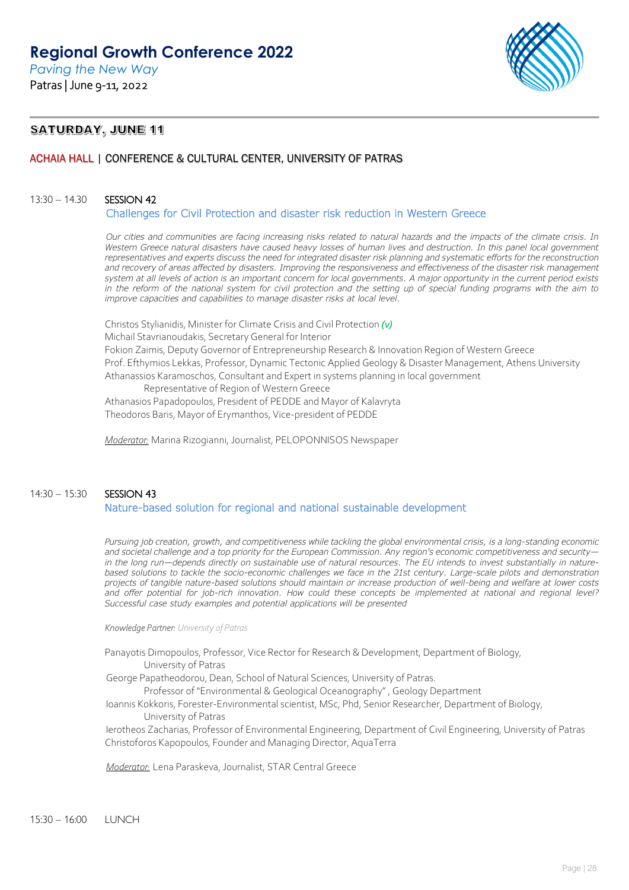

## **SATURDAY, JUNE 11**

## ACHAIA HALL | CONFERENCE & CULTURAL CENTER, UNIVERSITY OF PATRAS

### 13:30 – 14.30 SESSION 42

Challenges for Civil Protection and disaster risk reduction in Western Greece

*Our cities and communities are facing increasing risks related to natural hazards and the impacts of the climate crisis. In Western Greece natural disasters have caused heavy losses of human lives and destruction. In this panel local government representatives and experts discuss the need for integrated disaster risk planning and systematic efforts for the reconstruction and recovery of areas affected by disasters. Improving the responsiveness and effectiveness of the disaster risk management system at all levels of action is an important concern for local governments. A major opportunity in the current period exists in the reform of the national system for civil protection and the setting up of special funding programs with the aim to improve capacities and capabilities to manage disaster risks at local level.*

Christos Stylianidis, Minister for Climate Crisis and Civil Protection *(v)* Michail Stavrianoudakis, Secretary General for Interior Fokion Zaimis, Deputy Governor of Entrepreneurship Research & Innovation Region of Western Greece Prof. Efthymios Lekkas, Professor, Dynamic Tectonic Applied Geology & Disaster Management, Athens University Athanassios Karamoschos, Consultant and Expert in systems planning in local government Representative of Region of Western Greece

Athanasios Papadopoulos, President of PEDDE and Mayor of Kalavryta Theodoros Baris, Mayor of Erymanthos, Vice-president of PEDDE

*Moderator:* Marina Rizogianni, Journalist, PELOPONNISOS Newspaper

## 14:30 – 15:30 SESSION 43 Nature-based solution for regional and national sustainable development

*Pursuing job creation, growth, and competitiveness while tackling the global environmental crisis, is a long-standing economic and societal challenge and a top priority for the European Commission. Any region's economic competitiveness and security in the long run—depends directly on sustainable use of natural resources. The EU intends to invest substantially in naturebased solutions to tackle the socio-economic challenges we face in the 21st century. Large-scale pilots and demonstration projects of tangible nature-based solutions should maintain or increase production of well-being and welfare at lower costs*  and offer potential for job-rich innovation. How could these concepts be implemented at national and regional level? *Successful case study examples and potential applications will be presented*

#### *Knowledge Partner: University of Patras*

Panayotis Dimopoulos, Professor, Vice Rector for Research & Development, Department of Biology, University of Patras

George Papatheodorou, Dean, School of Natural Sciences, University of Patras.

Professor of "Environmental & Geological Oceanography" , Geology Department

Ioannis Kokkoris, Forester-Environmental scientist, MSc, Phd, Senior Researcher, Department of Biology, University of Patras

Ierotheos Zacharias, Professor of Environmental Engineering, Department of Civil Engineering, University of Patras Christoforos Kapopoulos, Founder and Managing Director, AquaTerra

*Moderator:* Lena Paraskeva, Journalist, STAR Central Greece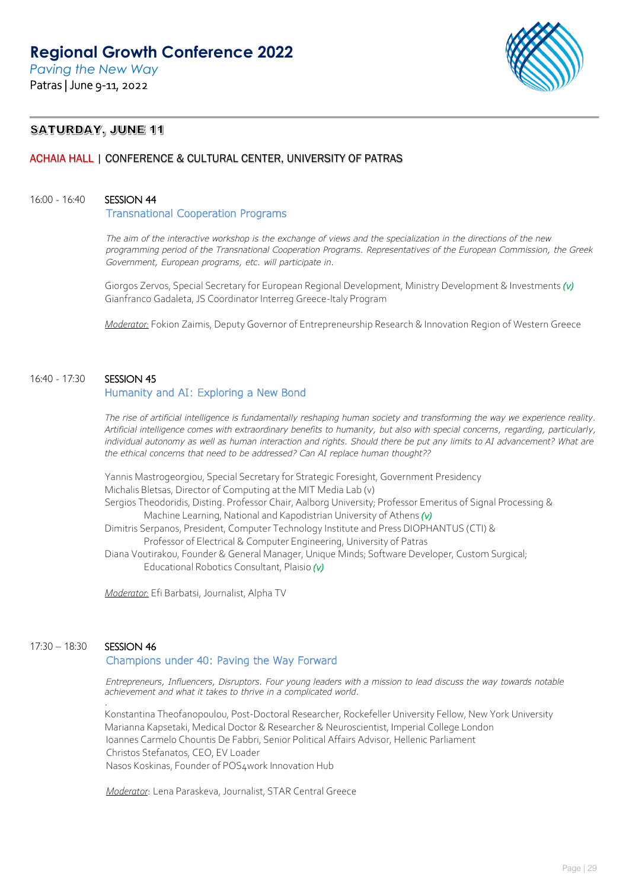

## **SATURDAY, JUNE 11**

## ACHAIA HALL | CONFERENCE & CULTURAL CENTER, UNIVERSITY OF PATRAS

### 16:00 - 16:40 SESSION 44

#### Transnational Cooperation Programs

*The aim of the interactive workshop is the exchange of views and the specialization in the directions of the new programming period of the Transnational Cooperation Programs. Representatives of the European Commission, the Greek Government, European programs, etc. will participate in.*

Giorgos Zervos, Special Secretary for European Regional Development, Ministry Development & Investments *(v)* Gianfranco Gadaleta, JS Coordinator Interreg Greece-Italy Program

*Moderator:* Fokion Zaimis, Deputy Governor of Entrepreneurship Research & Innovation Region of Western Greece

## 16:40 - 17:30 SESSION 45

## Humanity and AI: Exploring a New Bond

*The rise of artificial intelligence is fundamentally reshaping human society and transforming the way we experience reality. Artificial intelligence comes with extraordinary benefits to humanity, but also with special concerns, regarding, particularly, individual autonomy as well as human interaction and rights. Should there be put any limits to AI advancement? What are the ethical concerns that need to be addressed? Can AI replace human thought??*

Yannis Mastrogeorgiou, Special Secretary for Strategic Foresight, Government Presidency Μichalis Bletsas, Director of Computing at the MIT Media Lab (v) Sergios Theodoridis, Disting. Professor Chair, Aalborg University; Professor Emeritus of Signal Processing & Machine Learning, National and Kapodistrian University of Athens *(v)* Dimitris Serpanos, President, Computer Technology Institute and Press DIOPHANTUS (CTI) & Professor of Electrical & Computer Engineering, University of Patras Diana Voutirakou, Founder & General Manager, Unique Minds; Software Developer, Custom Surgical; Educational Robotics Consultant, Plaisio *(v)*

*Moderator:* Efi Barbatsi, Journalist, Alpha TV

### 17:30 – 18:30 SESSION 46

*.*

### Champions under 40: Paving the Way Forward

*Entrepreneurs, Influencers, Disruptors. Four young leaders with a mission to lead discuss the way towards notable achievement and what it takes to thrive in a complicated world.* 

Konstantina Theofanopoulou, Post-Doctoral Researcher, Rockefeller University Fellow, New York University Marianna Kapsetaki, Medical Doctor & Researcher & Neuroscientist, Imperial College London Ioannes Carmelo Chountis De Fabbri, Senior Political Affairs Advisor, Hellenic Parliament Christos Stefanatos, CEO, EV Loader Nasos Koskinas, Founder of POS4work Innovation Hub

*Moderator*: Lena Paraskeva, Journalist, STAR Central Greece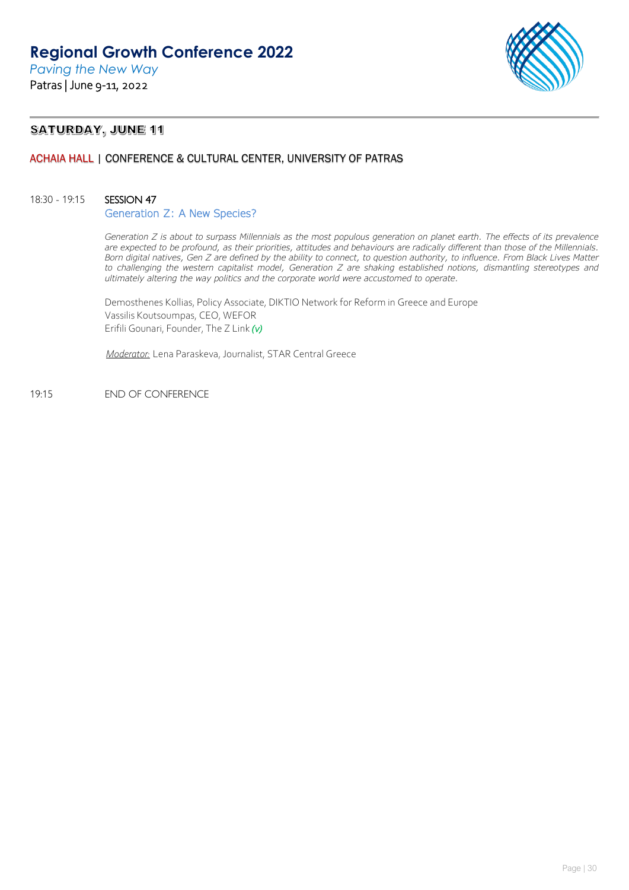

## **SATURDAY, JUNE 11**

## ACHAIA HALL | CONFERENCE & CULTURAL CENTER, UNIVERSITY OF PATRAS

### 18:30 - 19:15 SESSION 47

#### Generation Z: A New Species?

*Generation Z is about to surpass Millennials as the most populous generation on planet earth. The effects of its prevalence are expected to be profound, as their priorities, attitudes and behaviours are radically different than those of the Millennials. Born digital natives, Gen Z are defined by the ability to connect, to question authority, to influence. From Black Lives Matter to challenging the western capitalist model, Generation Z are shaking established notions, dismantling stereotypes and ultimately altering the way politics and the corporate world were accustomed to operate.*

Demosthenes Kollias, Policy Associate, DIKTIO Network for Reform in Greece and Europe Vassilis Koutsoumpas, CEO, WEFOR Erifili Gounari, Founder, The Z Link *(v)* 

*Moderator:* Lena Paraskeva, Journalist, STAR Central Greece

19:15 END OF CONFERENCE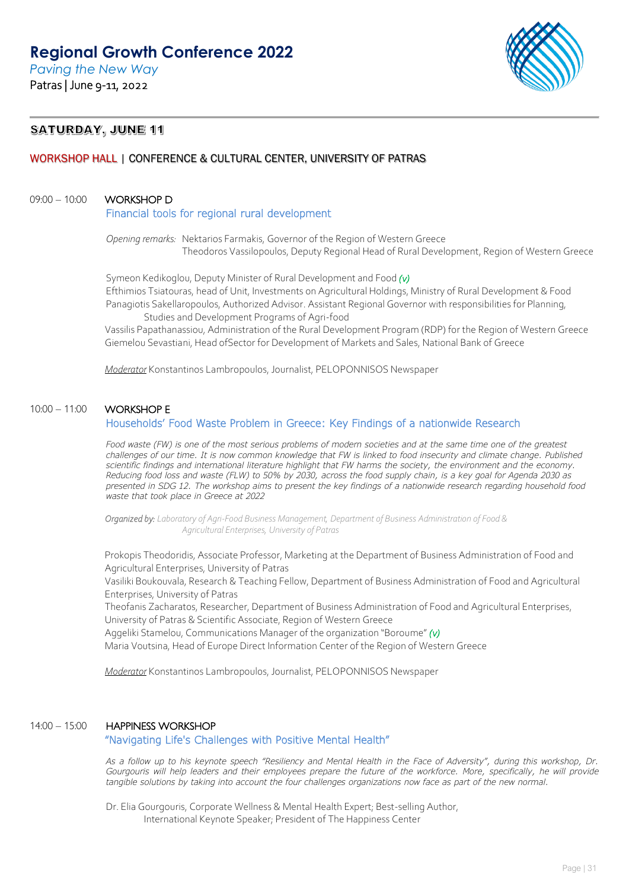*Paving the New Way* Patras | June 9-11, 2022



## **SATURDAY, JUNE 11**

## WORKSHOP HALL | CONFERENCE & CULTURAL CENTER, UNIVERSITY OF PATRAS

### 09:00 - 10:00 WORKSHOP D

#### Financial tools for regional rural development

*Opening remarks:* Nektarios Farmakis, Governor of the Region of Western Greece Theodoros Vassilopoulos, Deputy Regional Head of Rural Development, Region of Western Greece

Symeon Kedikoglou, Deputy Minister of Rural Development and Food *(v)* Efthimios Tsiatouras, head of Unit, Investments on Agricultural Holdings, Ministry of Rural Development & Food Panagiotis Sakellaropoulos, Authorized Advisor. Assistant Regional Governor with responsibilities for Planning, Studies and Development Programs of Agri-food

Vassilis Papathanassiou, Administration of the Rural Development Program (RDP) for the Region of Western Greece Giemelou Sevastiani, Head ofSector for Development of Markets and Sales, National Bank of Greece

*Moderator* Konstantinos Lambropoulos, Journalist, PELOPONNISOS Newspaper

### 10:00 – 11:00 WORKSHOP E

### Households' Food Waste Problem in Greece: Key Findings of a nationwide Research

*Food waste (FW) is one of the most serious problems of modern societies and at the same time one of the greatest challenges of our time. It is now common knowledge that FW is linked to food insecurity and climate change. Published scientific findings and international literature highlight that FW harms the society, the environment and the economy. Reducing food loss and waste (FLW) to 50% by 2030, across the food supply chain, is a key goal for Agenda 2030 as presented in SDG 12. The workshop aims to present the key findings of a nationwide research regarding household food waste that took place in Greece at 2022*

 *Organized by: Laboratory of Agri-Food Business Management, Department of Business Administration of Food & Agricultural Enterprises, University of Patras*

Prokopis Theodoridis, Associate Professor, Marketing at the Department of Business Administration of Food and Agricultural Enterprises, University of Patras

Vasiliki Boukouvala, Research & Teaching Fellow, Department of Business Administration of Food and Agricultural Enterprises, University of Patras

Theofanis Zacharatos, Researcher, Department of Business Administration of Food and Agricultural Enterprises, University of Patras & Scientific Associate, Region of Western Greece

Aggeliki Stamelou, Communications Manager of the organization "Boroume" *(v)*

Maria Voutsina, Head of Europe Direct Information Center of the Region of Western Greece

*Moderator* Konstantinos Lambropoulos, Journalist, PELOPONNISOS Newspaper

#### 14:00 – 15:00 HAPPINESS WORKSHOP

### "Navigating Life's Challenges with Positive Mental Health"

*As a follow up to his keynote speech "Resiliency and Mental Health in the Face of Adversity", during this workshop, Dr.*  Gourgouris will help leaders and their employees prepare the future of the workforce. More, specifically, he will provide *tangible solutions by taking into account the four challenges organizations now face as part of the new normal.*

Dr. Elia Gourgouris, Corporate Wellness & Mental Health Expert; Best-selling Author, International Keynote Speaker; President of The Happiness Center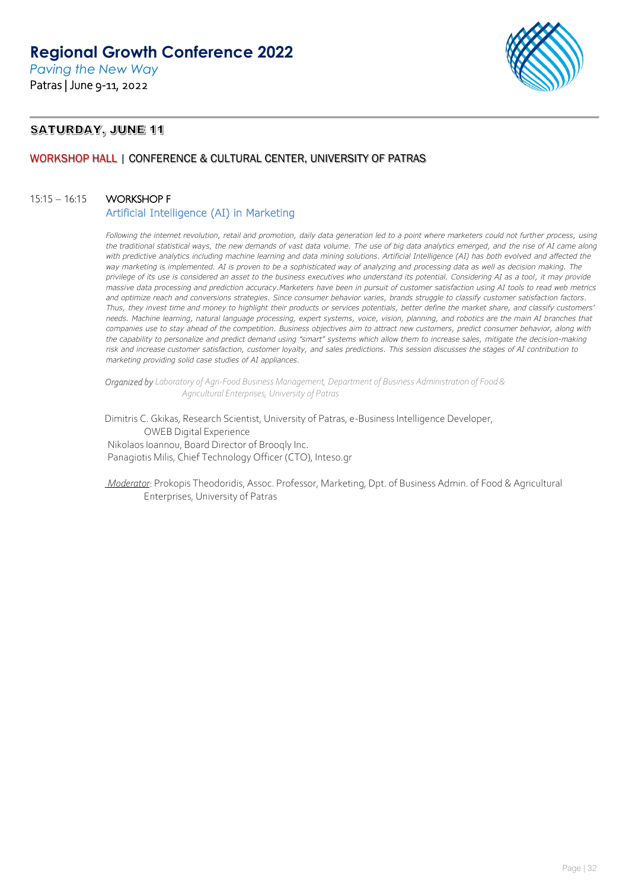

## **SATURDAY, JUNE 11**

## WORKSHOP HALL | CONFERENCE & CULTURAL CENTER, UNIVERSITY OF PATRAS

## 15:15 – 16:15 WORKSHOP F

### Artificial Intelligence (AI) in Marketing

*Following the internet revolution, retail and promotion, daily data generation led to a point where marketers could not further process, using the traditional statistical ways, the new demands of vast data volume. The use of big data analytics emerged, and the rise of AI came along with predictive analytics including machine learning and data mining solutions. Artificial Intelligence (AI) has both evolved and affected the way marketing is implemented. AI is proven to be a sophisticated way of analyzing and processing data as well as decision making. The privilege of its use is considered an asset to the business executives who understand its potential. Considering AI as a tool, it may provide massive data processing and prediction accuracy.Marketers have been in pursuit of customer satisfaction using AI tools to read web metrics and optimize reach and conversions strategies. Since consumer behavior varies, brands struggle to classify customer satisfaction factors. Thus, they invest time and money to highlight their products or services potentials, better define the market share, and classify customers' needs. Machine learning, natural language processing, expert systems, voice, vision, planning, and robotics are the main AI branches that companies use to stay ahead of the competition. Business objectives aim to attract new customers, predict consumer behavior, along with the capability to personalize and predict demand using "smart" systems which allow them to increase sales, mitigate the decision-making risk and increase customer satisfaction, customer loyalty, and sales predictions. This session discusses the stages of AI contribution to marketing providing solid case studies of AI appliances.*

*Organized by Laboratory of Agri-Food Business Management, Department of Business Administration of Food & Agricultural Enterprises, University of Patras*

Dimitris C. Gkikas, Research Scientist, University of Patras, e-Business Intelligence Developer, OWEB Digital Experience Nikolaos Ioannou, Board Director of Brooqly Inc. Panagiotis Milis, Chief Technology Officer (CTO), Inteso.gr

*Moderator*: Prokopis Theodoridis, Assoc. Professor, Marketing, Dpt. of Business Admin. of Food & Agricultural Enterprises, University of Patras